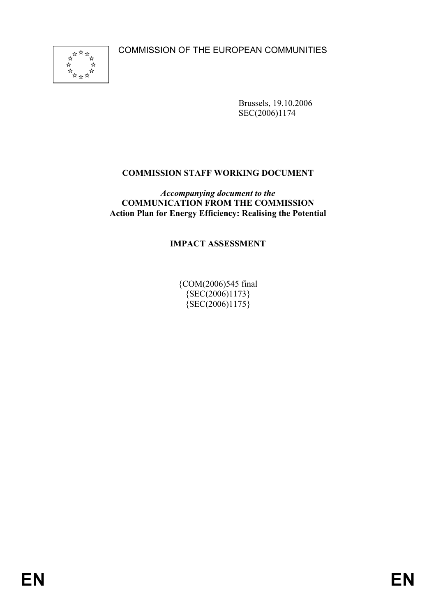COMMISSION OF THE EUROPEAN COMMUNITIES



Brussels, 19.10.2006 SEC(2006)1174

## **COMMISSION STAFF WORKING DOCUMENT**

*Accompanying document to the* **COMMUNICATION FROM THE COMMISSION Action Plan for Energy Efficiency: Realising the Potential** 

#### **IMPACT ASSESSMENT**

{COM(2006)545 final  ${SEC(2006)1173}$  ${SEC(2006)1175}$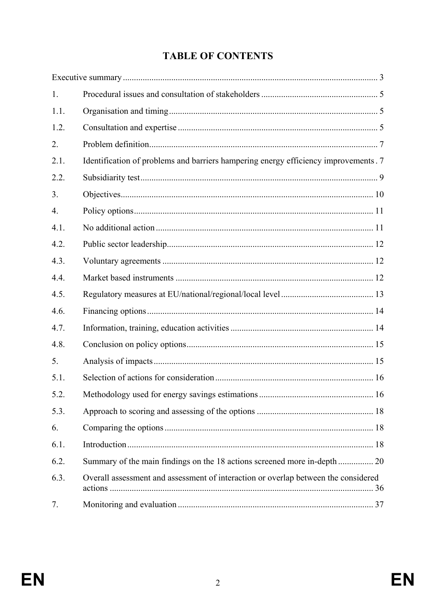# **TABLE OF CONTENTS**

| 1.               |                                                                                      |  |
|------------------|--------------------------------------------------------------------------------------|--|
| 1.1.             |                                                                                      |  |
| 1.2.             |                                                                                      |  |
| 2.               |                                                                                      |  |
| 2.1.             | Identification of problems and barriers hampering energy efficiency improvements . 7 |  |
| 2.2.             |                                                                                      |  |
| 3.               |                                                                                      |  |
| $\overline{4}$ . |                                                                                      |  |
| 4.1.             |                                                                                      |  |
| 4.2.             |                                                                                      |  |
| 4.3.             |                                                                                      |  |
| 4.4.             |                                                                                      |  |
| 4.5.             |                                                                                      |  |
| 4.6.             |                                                                                      |  |
| 4.7.             |                                                                                      |  |
| 4.8.             |                                                                                      |  |
| 5.               |                                                                                      |  |
| 5.1.             |                                                                                      |  |
| 5.2.             |                                                                                      |  |
| 5.3.             |                                                                                      |  |
| 6.               |                                                                                      |  |
| 6.1.             |                                                                                      |  |
| 6.2.             |                                                                                      |  |
| 6.3.             | Overall assessment and assessment of interaction or overlap between the considered   |  |
| 7.               |                                                                                      |  |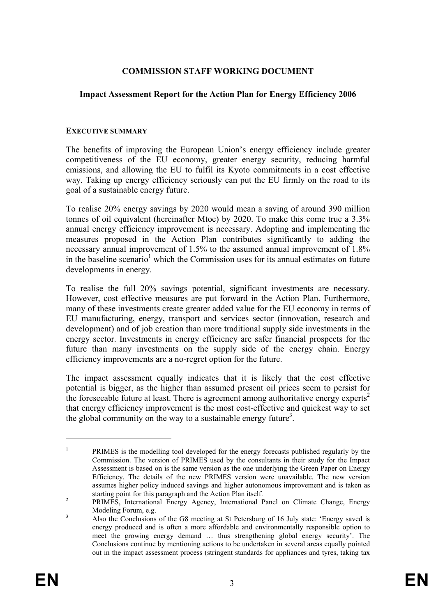#### **COMMISSION STAFF WORKING DOCUMENT**

#### **Impact Assessment Report for the Action Plan for Energy Efficiency 2006**

#### **EXECUTIVE SUMMARY**

The benefits of improving the European Union's energy efficiency include greater competitiveness of the EU economy, greater energy security, reducing harmful emissions, and allowing the EU to fulfil its Kyoto commitments in a cost effective way. Taking up energy efficiency seriously can put the EU firmly on the road to its goal of a sustainable energy future.

To realise 20% energy savings by 2020 would mean a saving of around 390 million tonnes of oil equivalent (hereinafter Mtoe) by 2020. To make this come true a 3.3% annual energy efficiency improvement is necessary. Adopting and implementing the measures proposed in the Action Plan contributes significantly to adding the necessary annual improvement of 1.5% to the assumed annual improvement of 1.8% in the baseline scenario<sup>1</sup> which the Commission uses for its annual estimates on future developments in energy.

To realise the full 20% savings potential, significant investments are necessary. However, cost effective measures are put forward in the Action Plan. Furthermore, many of these investments create greater added value for the EU economy in terms of EU manufacturing, energy, transport and services sector (innovation, research and development) and of job creation than more traditional supply side investments in the energy sector. Investments in energy efficiency are safer financial prospects for the future than many investments on the supply side of the energy chain. Energy efficiency improvements are a no-regret option for the future.

The impact assessment equally indicates that it is likely that the cost effective potential is bigger, as the higher than assumed present oil prices seem to persist for the foreseeable future at least. There is agreement among authoritative energy experts<sup>2</sup> that energy efficiency improvement is the most cost-effective and quickest way to set the global community on the way to a sustainable energy future<sup>3</sup>.

1

<sup>1</sup> PRIMES is the modelling tool developed for the energy forecasts published regularly by the Commission. The version of PRIMES used by the consultants in their study for the Impact Assessment is based on is the same version as the one underlying the Green Paper on Energy Efficiency. The details of the new PRIMES version were unavailable. The new version assumes higher policy induced savings and higher autonomous improvement and is taken as starting point for this paragraph and the Action Plan itself.

PRIMES, International Energy Agency, International Panel on Climate Change, Energy Modeling Forum, e.g.

Also the Conclusions of the G8 meeting at St Petersburg of 16 July state: 'Energy saved is energy produced and is often a more affordable and environmentally responsible option to meet the growing energy demand … thus strengthening global energy security'. The Conclusions continue by mentioning actions to be undertaken in several areas equally pointed out in the impact assessment process (stringent standards for appliances and tyres, taking tax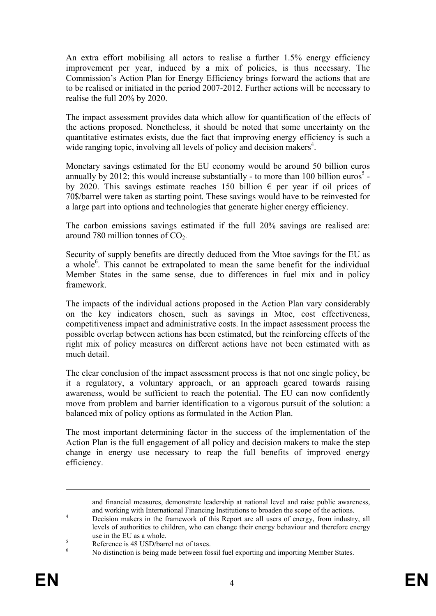An extra effort mobilising all actors to realise a further 1.5% energy efficiency improvement per year, induced by a mix of policies, is thus necessary. The Commission's Action Plan for Energy Efficiency brings forward the actions that are to be realised or initiated in the period 2007-2012. Further actions will be necessary to realise the full 20% by 2020.

The impact assessment provides data which allow for quantification of the effects of the actions proposed. Nonetheless, it should be noted that some uncertainty on the quantitative estimates exists, due the fact that improving energy efficiency is such a wide ranging topic, involving all levels of policy and decision makers<sup>4</sup>.

Monetary savings estimated for the EU economy would be around 50 billion euros annually by 2012; this would increase substantially - to more than 100 billion euros<sup>5</sup> by 2020. This savings estimate reaches 150 billion  $\epsilon$  per year if oil prices of 70\$/barrel were taken as starting point. These savings would have to be reinvested for a large part into options and technologies that generate higher energy efficiency.

The carbon emissions savings estimated if the full 20% savings are realised are: around 780 million tonnes of  $CO<sub>2</sub>$ .

Security of supply benefits are directly deduced from the Mtoe savings for the EU as a whole<sup>6</sup>. This cannot be extrapolated to mean the same benefit for the individual Member States in the same sense, due to differences in fuel mix and in policy framework.

The impacts of the individual actions proposed in the Action Plan vary considerably on the key indicators chosen, such as savings in Mtoe, cost effectiveness, competitiveness impact and administrative costs. In the impact assessment process the possible overlap between actions has been estimated, but the reinforcing effects of the right mix of policy measures on different actions have not been estimated with as much detail.

The clear conclusion of the impact assessment process is that not one single policy, be it a regulatory, a voluntary approach, or an approach geared towards raising awareness, would be sufficient to reach the potential. The EU can now confidently move from problem and barrier identification to a vigorous pursuit of the solution: a balanced mix of policy options as formulated in the Action Plan.

The most important determining factor in the success of the implementation of the Action Plan is the full engagement of all policy and decision makers to make the step change in energy use necessary to reap the full benefits of improved energy efficiency.

1

and financial measures, demonstrate leadership at national level and raise public awareness, and working with International Financing Institutions to broaden the scope of the actions.

Decision makers in the framework of this Report are all users of energy, from industry, all levels of authorities to children, who can change their energy behaviour and therefore energy  $\frac{1}{2}$  use in the EU as a whole.

Reference is 48 USD/barrel net of taxes.

<sup>6</sup> No distinction is being made between fossil fuel exporting and importing Member States.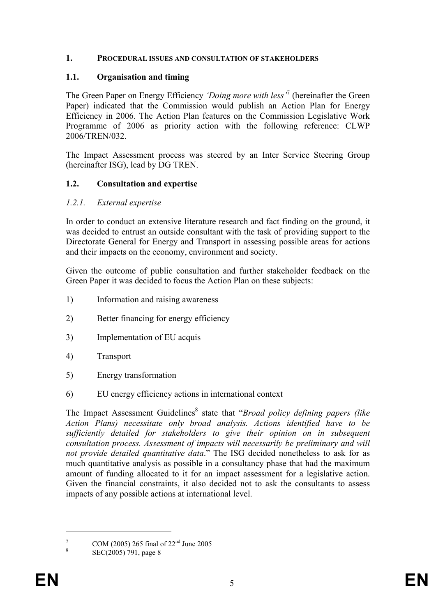#### **1. PROCEDURAL ISSUES AND CONSULTATION OF STAKEHOLDERS**

#### **1.1. Organisation and timing**

The Green Paper on Energy Efficiency *'Doing more with less'*<sup>7</sup> (hereinafter the Green Paper) indicated that the Commission would publish an Action Plan for Energy Efficiency in 2006. The Action Plan features on the Commission Legislative Work Programme of 2006 as priority action with the following reference: CLWP 2006/TREN/032.

The Impact Assessment process was steered by an Inter Service Steering Group (hereinafter ISG), lead by DG TREN.

#### **1.2. Consultation and expertise**

#### *1.2.1. External expertise*

In order to conduct an extensive literature research and fact finding on the ground, it was decided to entrust an outside consultant with the task of providing support to the Directorate General for Energy and Transport in assessing possible areas for actions and their impacts on the economy, environment and society.

Given the outcome of public consultation and further stakeholder feedback on the Green Paper it was decided to focus the Action Plan on these subjects:

- 1) Information and raising awareness
- 2) Better financing for energy efficiency
- 3) Implementation of EU acquis
- 4) Transport
- 5) Energy transformation
- 6) EU energy efficiency actions in international context

The Impact Assessment Guidelines<sup>8</sup> state that "*Broad policy defining papers (like Action Plans) necessitate only broad analysis. Actions identified have to be sufficiently detailed for stakeholders to give their opinion on in subsequent consultation process. Assessment of impacts will necessarily be preliminary and will not provide detailed quantitative data*." The ISG decided nonetheless to ask for as much quantitative analysis as possible in a consultancy phase that had the maximum amount of funding allocated to it for an impact assessment for a legislative action. Given the financial constraints, it also decided not to ask the consultants to assess impacts of any possible actions at international level.

7 COM (2005) 265 final of  $22<sup>nd</sup>$  June 2005

<u>.</u>

SEC(2005) 791, page 8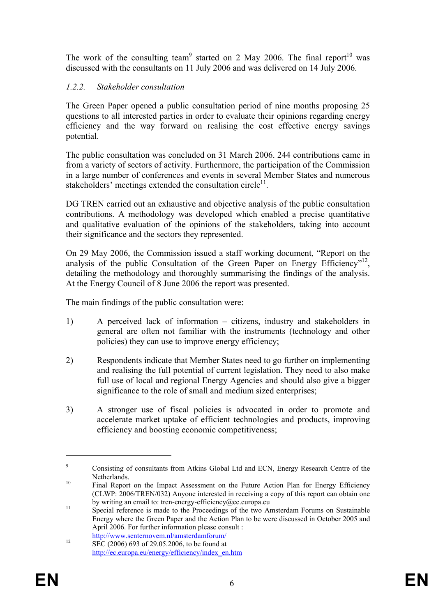The work of the consulting team<sup>9</sup> started on 2 May 2006. The final report<sup>10</sup> was discussed with the consultants on 11 July 2006 and was delivered on 14 July 2006.

## *1.2.2. Stakeholder consultation*

The Green Paper opened a public consultation period of nine months proposing 25 questions to all interested parties in order to evaluate their opinions regarding energy efficiency and the way forward on realising the cost effective energy savings potential.

The public consultation was concluded on 31 March 2006. 244 contributions came in from a variety of sectors of activity. Furthermore, the participation of the Commission in a large number of conferences and events in several Member States and numerous stakeholders' meetings extended the consultation circle<sup>11</sup>.

DG TREN carried out an exhaustive and objective analysis of the public consultation contributions. A methodology was developed which enabled a precise quantitative and qualitative evaluation of the opinions of the stakeholders, taking into account their significance and the sectors they represented.

On 29 May 2006, the Commission issued a staff working document, "Report on the analysis of the public Consultation of the Green Paper on Energy Efficiency"<sup>12</sup>, detailing the methodology and thoroughly summarising the findings of the analysis. At the Energy Council of 8 June 2006 the report was presented.

The main findings of the public consultation were:

- 1) A perceived lack of information citizens, industry and stakeholders in general are often not familiar with the instruments (technology and other policies) they can use to improve energy efficiency;
- 2) Respondents indicate that Member States need to go further on implementing and realising the full potential of current legislation. They need to also make full use of local and regional Energy Agencies and should also give a bigger significance to the role of small and medium sized enterprises;
- 3) A stronger use of fiscal policies is advocated in order to promote and accelerate market uptake of efficient technologies and products, improving efficiency and boosting economic competitiveness;

<u>.</u>

<sup>9</sup> Consisting of consultants from Atkins Global Ltd and ECN, Energy Research Centre of the 10 Netherlands.<br><sup>10</sup> Final Report on the Impact Assessment on the Future Action Plan for Energy Efficiency

<sup>(</sup>CLWP:  $2006/TER/N032$ ) Anyone interested in receiving a copy of this report can obtain one by writing an email to: tren-energy-efficiency@ec.europa.eu

<sup>&</sup>lt;sup>11</sup> Special reference is made to the Proceedings of the two Amsterdam Forums on Sustainable Energy where the Green Paper and the Action Plan to be were discussed in October 2005 and April 2006. For further information please consult :

http://www.senternovem.nl/amsterdamforum/<br>SEC (2006) 693 of 29.05.2006, to be found at http://ec.europa.eu/energy/efficiency/index\_en.htm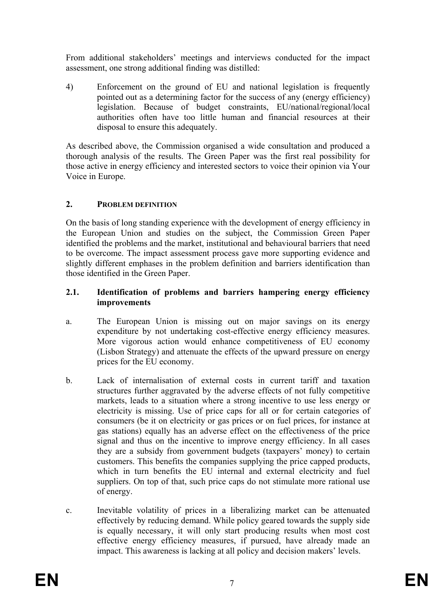From additional stakeholders' meetings and interviews conducted for the impact assessment, one strong additional finding was distilled:

4) Enforcement on the ground of EU and national legislation is frequently pointed out as a determining factor for the success of any (energy efficiency) legislation. Because of budget constraints, EU/national/regional/local authorities often have too little human and financial resources at their disposal to ensure this adequately.

As described above, the Commission organised a wide consultation and produced a thorough analysis of the results. The Green Paper was the first real possibility for those active in energy efficiency and interested sectors to voice their opinion via Your Voice in Europe.

## **2. PROBLEM DEFINITION**

On the basis of long standing experience with the development of energy efficiency in the European Union and studies on the subject, the Commission Green Paper identified the problems and the market, institutional and behavioural barriers that need to be overcome. The impact assessment process gave more supporting evidence and slightly different emphases in the problem definition and barriers identification than those identified in the Green Paper.

#### **2.1. Identification of problems and barriers hampering energy efficiency improvements**

- a. The European Union is missing out on major savings on its energy expenditure by not undertaking cost-effective energy efficiency measures. More vigorous action would enhance competitiveness of EU economy (Lisbon Strategy) and attenuate the effects of the upward pressure on energy prices for the EU economy.
- b. Lack of internalisation of external costs in current tariff and taxation structures further aggravated by the adverse effects of not fully competitive markets, leads to a situation where a strong incentive to use less energy or electricity is missing. Use of price caps for all or for certain categories of consumers (be it on electricity or gas prices or on fuel prices, for instance at gas stations) equally has an adverse effect on the effectiveness of the price signal and thus on the incentive to improve energy efficiency. In all cases they are a subsidy from government budgets (taxpayers' money) to certain customers. This benefits the companies supplying the price capped products, which in turn benefits the EU internal and external electricity and fuel suppliers. On top of that, such price caps do not stimulate more rational use of energy.
- c. Inevitable volatility of prices in a liberalizing market can be attenuated effectively by reducing demand. While policy geared towards the supply side is equally necessary, it will only start producing results when most cost effective energy efficiency measures, if pursued, have already made an impact. This awareness is lacking at all policy and decision makers' levels.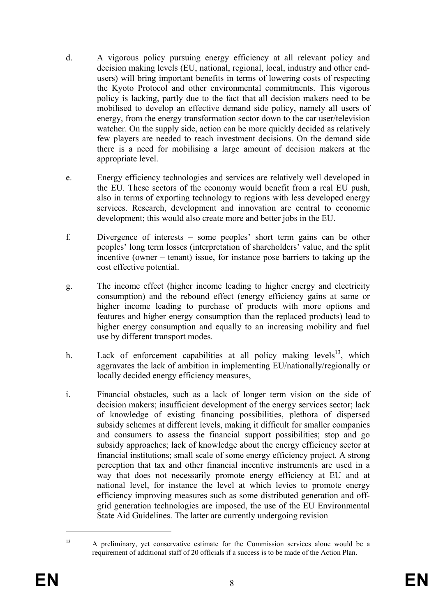- d. A vigorous policy pursuing energy efficiency at all relevant policy and decision making levels (EU, national, regional, local, industry and other endusers) will bring important benefits in terms of lowering costs of respecting the Kyoto Protocol and other environmental commitments. This vigorous policy is lacking, partly due to the fact that all decision makers need to be mobilised to develop an effective demand side policy, namely all users of energy, from the energy transformation sector down to the car user/television watcher. On the supply side, action can be more quickly decided as relatively few players are needed to reach investment decisions. On the demand side there is a need for mobilising a large amount of decision makers at the appropriate level.
- e. Energy efficiency technologies and services are relatively well developed in the EU. These sectors of the economy would benefit from a real EU push, also in terms of exporting technology to regions with less developed energy services. Research, development and innovation are central to economic development; this would also create more and better jobs in the EU.
- f. Divergence of interests some peoples' short term gains can be other peoples' long term losses (interpretation of shareholders' value, and the split incentive (owner – tenant) issue, for instance pose barriers to taking up the cost effective potential.
- g. The income effect (higher income leading to higher energy and electricity consumption) and the rebound effect (energy efficiency gains at same or higher income leading to purchase of products with more options and features and higher energy consumption than the replaced products) lead to higher energy consumption and equally to an increasing mobility and fuel use by different transport modes.
- h. Lack of enforcement capabilities at all policy making levels<sup>13</sup>, which aggravates the lack of ambition in implementing EU/nationally/regionally or locally decided energy efficiency measures,
- i. Financial obstacles, such as a lack of longer term vision on the side of decision makers; insufficient development of the energy services sector; lack of knowledge of existing financing possibilities, plethora of dispersed subsidy schemes at different levels, making it difficult for smaller companies and consumers to assess the financial support possibilities; stop and go subsidy approaches; lack of knowledge about the energy efficiency sector at financial institutions; small scale of some energy efficiency project. A strong perception that tax and other financial incentive instruments are used in a way that does not necessarily promote energy efficiency at EU and at national level, for instance the level at which levies to promote energy efficiency improving measures such as some distributed generation and offgrid generation technologies are imposed, the use of the EU Environmental State Aid Guidelines. The latter are currently undergoing revision

<u>.</u>

<sup>&</sup>lt;sup>13</sup> A preliminary, yet conservative estimate for the Commission services alone would be a requirement of additional staff of 20 officials if a success is to be made of the Action Plan.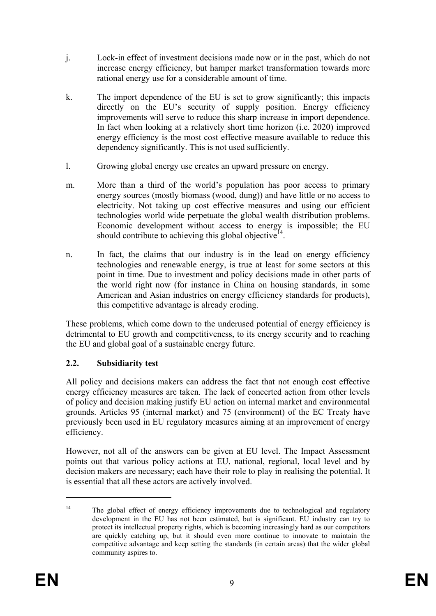- j. Lock-in effect of investment decisions made now or in the past, which do not increase energy efficiency, but hamper market transformation towards more rational energy use for a considerable amount of time.
- k. The import dependence of the EU is set to grow significantly; this impacts directly on the EU's security of supply position. Energy efficiency improvements will serve to reduce this sharp increase in import dependence. In fact when looking at a relatively short time horizon (i.e. 2020) improved energy efficiency is the most cost effective measure available to reduce this dependency significantly. This is not used sufficiently.
- l. Growing global energy use creates an upward pressure on energy.
- m. More than a third of the world's population has poor access to primary energy sources (mostly biomass (wood, dung)) and have little or no access to electricity. Not taking up cost effective measures and using our efficient technologies world wide perpetuate the global wealth distribution problems. Economic development without access to energy is impossible; the EU should contribute to achieving this global objective<sup>14</sup>.
- n. In fact, the claims that our industry is in the lead on energy efficiency technologies and renewable energy, is true at least for some sectors at this point in time. Due to investment and policy decisions made in other parts of the world right now (for instance in China on housing standards, in some American and Asian industries on energy efficiency standards for products), this competitive advantage is already eroding.

These problems, which come down to the underused potential of energy efficiency is detrimental to EU growth and competitiveness, to its energy security and to reaching the EU and global goal of a sustainable energy future.

# **2.2. Subsidiarity test**

All policy and decisions makers can address the fact that not enough cost effective energy efficiency measures are taken. The lack of concerted action from other levels of policy and decision making justify EU action on internal market and environmental grounds. Articles 95 (internal market) and 75 (environment) of the EC Treaty have previously been used in EU regulatory measures aiming at an improvement of energy efficiency.

However, not all of the answers can be given at EU level. The Impact Assessment points out that various policy actions at EU, national, regional, local level and by decision makers are necessary; each have their role to play in realising the potential. It is essential that all these actors are actively involved.

1

<sup>&</sup>lt;sup>14</sup> The global effect of energy efficiency improvements due to technological and regulatory development in the EU has not been estimated, but is significant. EU industry can try to protect its intellectual property rights, which is becoming increasingly hard as our competitors are quickly catching up, but it should even more continue to innovate to maintain the competitive advantage and keep setting the standards (in certain areas) that the wider global community aspires to.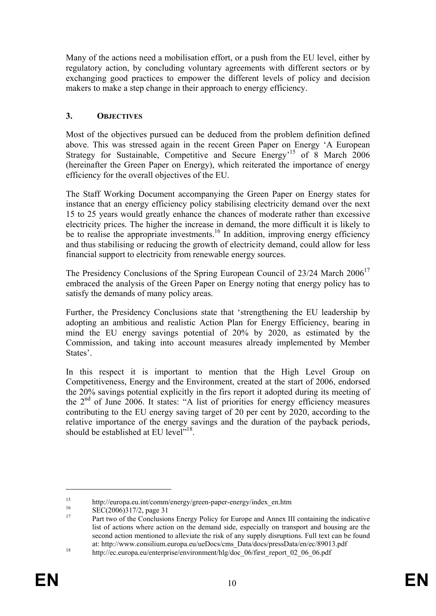Many of the actions need a mobilisation effort, or a push from the EU level, either by regulatory action, by concluding voluntary agreements with different sectors or by exchanging good practices to empower the different levels of policy and decision makers to make a step change in their approach to energy efficiency.

## **3. OBJECTIVES**

Most of the objectives pursued can be deduced from the problem definition defined above. This was stressed again in the recent Green Paper on Energy 'A European Strategy for Sustainable, Competitive and Secure Energy<sup>15</sup> of 8 March 2006 (hereinafter the Green Paper on Energy), which reiterated the importance of energy efficiency for the overall objectives of the EU.

The Staff Working Document accompanying the Green Paper on Energy states for instance that an energy efficiency policy stabilising electricity demand over the next 15 to 25 years would greatly enhance the chances of moderate rather than excessive electricity prices. The higher the increase in demand, the more difficult it is likely to be to realise the appropriate investments.<sup>16</sup> In addition, improving energy efficiency and thus stabilising or reducing the growth of electricity demand, could allow for less financial support to electricity from renewable energy sources.

The Presidency Conclusions of the Spring European Council of 23/24 March 2006<sup>17</sup> embraced the analysis of the Green Paper on Energy noting that energy policy has to satisfy the demands of many policy areas.

Further, the Presidency Conclusions state that 'strengthening the EU leadership by adopting an ambitious and realistic Action Plan for Energy Efficiency, bearing in mind the EU energy savings potential of 20% by 2020, as estimated by the Commission, and taking into account measures already implemented by Member States'.

In this respect it is important to mention that the High Level Group on Competitiveness, Energy and the Environment, created at the start of 2006, endorsed the 20% savings potential explicitly in the firs report it adopted during its meeting of the 2nd of June 2006. It states: "A list of priorities for energy efficiency measures contributing to the EU energy saving target of 20 per cent by 2020, according to the relative importance of the energy savings and the duration of the payback periods, should be established at EU level<sup> $18$ </sup>

1

<sup>15</sup> http://europa.eu.int/comm/energy/green-paper-energy/index\_en.htm

 $^{16}$  SEC(2006)317/2, page 31

<sup>17</sup> Part two of the Conclusions Energy Policy for Europe and Annex III containing the indicative list of actions where action on the demand side, especially on transport and housing are the second action mentioned to alleviate the risk of any supply disruptions. Full text can be found at: http://www.consilium.europa.eu/ueDocs/cms\_Data/docs/pressData/en/ec/89013.pdf<br>
<sup>18</sup> http://ec.europa.eu/enterprise/environment/hlg/doc\_06/first\_report\_02\_06\_06.pdf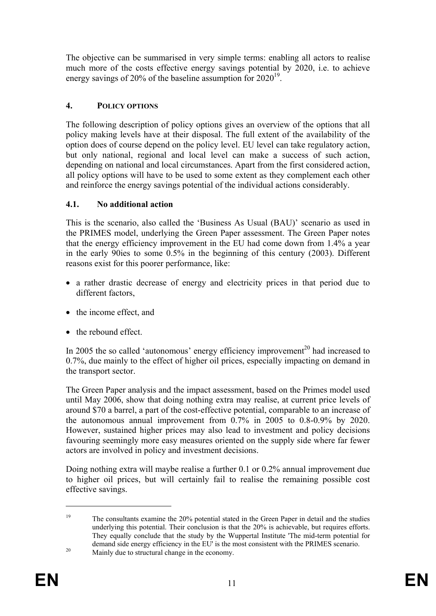The objective can be summarised in very simple terms: enabling all actors to realise much more of the costs effective energy savings potential by 2020, i.e. to achieve energy savings of 20% of the baseline assumption for  $2020^{19}$ .

# **4. POLICY OPTIONS**

The following description of policy options gives an overview of the options that all policy making levels have at their disposal. The full extent of the availability of the option does of course depend on the policy level. EU level can take regulatory action, but only national, regional and local level can make a success of such action, depending on national and local circumstances. Apart from the first considered action, all policy options will have to be used to some extent as they complement each other and reinforce the energy savings potential of the individual actions considerably.

## **4.1. No additional action**

This is the scenario, also called the 'Business As Usual (BAU)' scenario as used in the PRIMES model, underlying the Green Paper assessment. The Green Paper notes that the energy efficiency improvement in the EU had come down from 1.4% a year in the early 90ies to some 0.5% in the beginning of this century (2003). Different reasons exist for this poorer performance, like:

- a rather drastic decrease of energy and electricity prices in that period due to different factors.
- the income effect, and
- the rebound effect.

In 2005 the so called 'autonomous' energy efficiency improvement<sup>20</sup> had increased to 0.7%, due mainly to the effect of higher oil prices, especially impacting on demand in the transport sector.

The Green Paper analysis and the impact assessment, based on the Primes model used until May 2006, show that doing nothing extra may realise, at current price levels of around \$70 a barrel, a part of the cost-effective potential, comparable to an increase of the autonomous annual improvement from 0.7% in 2005 to 0.8-0.9% by 2020. However, sustained higher prices may also lead to investment and policy decisions favouring seemingly more easy measures oriented on the supply side where far fewer actors are involved in policy and investment decisions.

Doing nothing extra will maybe realise a further 0.1 or 0.2% annual improvement due to higher oil prices, but will certainly fail to realise the remaining possible cost effective savings.

<u>.</u>

<sup>&</sup>lt;sup>19</sup> The consultants examine the 20% potential stated in the Green Paper in detail and the studies underlying this potential. Their conclusion is that the 20% is achievable, but requires efforts. They equally conclude that the study by the Wuppertal Institute 'The mid-term potential for demand side energy efficiency in the EU' is the most consistent with the PRIMES scenario.<br>Mainly due to structural change in the economy.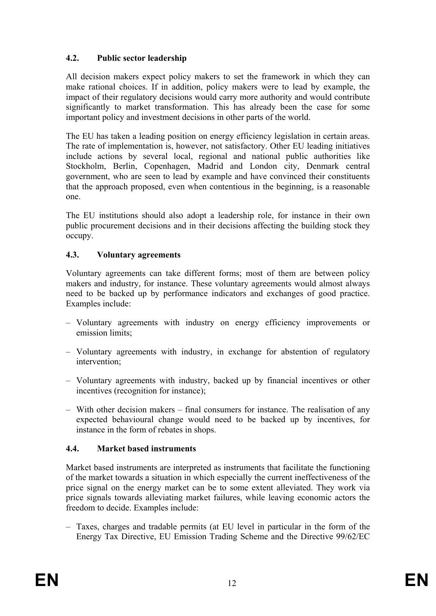# **4.2. Public sector leadership**

All decision makers expect policy makers to set the framework in which they can make rational choices. If in addition, policy makers were to lead by example, the impact of their regulatory decisions would carry more authority and would contribute significantly to market transformation. This has already been the case for some important policy and investment decisions in other parts of the world.

The EU has taken a leading position on energy efficiency legislation in certain areas. The rate of implementation is, however, not satisfactory. Other EU leading initiatives include actions by several local, regional and national public authorities like Stockholm, Berlin, Copenhagen, Madrid and London city, Denmark central government, who are seen to lead by example and have convinced their constituents that the approach proposed, even when contentious in the beginning, is a reasonable one.

The EU institutions should also adopt a leadership role, for instance in their own public procurement decisions and in their decisions affecting the building stock they occupy.

# **4.3. Voluntary agreements**

Voluntary agreements can take different forms; most of them are between policy makers and industry, for instance. These voluntary agreements would almost always need to be backed up by performance indicators and exchanges of good practice. Examples include:

- Voluntary agreements with industry on energy efficiency improvements or emission limits;
- Voluntary agreements with industry, in exchange for abstention of regulatory intervention;
- Voluntary agreements with industry, backed up by financial incentives or other incentives (recognition for instance);
- With other decision makers final consumers for instance. The realisation of any expected behavioural change would need to be backed up by incentives, for instance in the form of rebates in shops.

# **4.4. Market based instruments**

Market based instruments are interpreted as instruments that facilitate the functioning of the market towards a situation in which especially the current ineffectiveness of the price signal on the energy market can be to some extent alleviated. They work via price signals towards alleviating market failures, while leaving economic actors the freedom to decide. Examples include:

– Taxes, charges and tradable permits (at EU level in particular in the form of the Energy Tax Directive, EU Emission Trading Scheme and the Directive 99/62/EC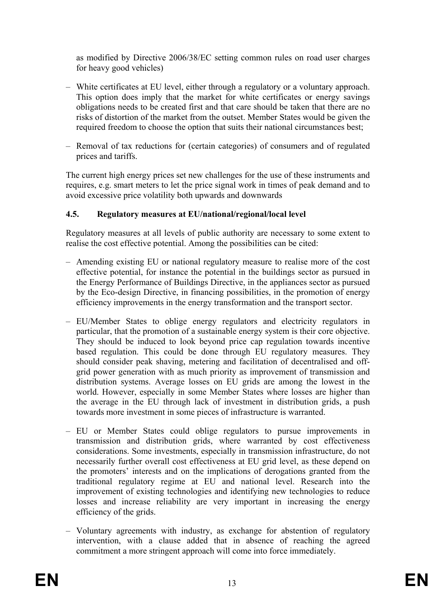as modified by Directive 2006/38/EC setting common rules on road user charges for heavy good vehicles)

- White certificates at EU level, either through a regulatory or a voluntary approach. This option does imply that the market for white certificates or energy savings obligations needs to be created first and that care should be taken that there are no risks of distortion of the market from the outset. Member States would be given the required freedom to choose the option that suits their national circumstances best;
- Removal of tax reductions for (certain categories) of consumers and of regulated prices and tariffs.

The current high energy prices set new challenges for the use of these instruments and requires, e.g. smart meters to let the price signal work in times of peak demand and to avoid excessive price volatility both upwards and downwards

#### **4.5. Regulatory measures at EU/national/regional/local level**

Regulatory measures at all levels of public authority are necessary to some extent to realise the cost effective potential. Among the possibilities can be cited:

- Amending existing EU or national regulatory measure to realise more of the cost effective potential, for instance the potential in the buildings sector as pursued in the Energy Performance of Buildings Directive, in the appliances sector as pursued by the Eco-design Directive, in financing possibilities, in the promotion of energy efficiency improvements in the energy transformation and the transport sector.
- EU/Member States to oblige energy regulators and electricity regulators in particular, that the promotion of a sustainable energy system is their core objective. They should be induced to look beyond price cap regulation towards incentive based regulation. This could be done through EU regulatory measures. They should consider peak shaving, metering and facilitation of decentralised and offgrid power generation with as much priority as improvement of transmission and distribution systems. Average losses on EU grids are among the lowest in the world. However, especially in some Member States where losses are higher than the average in the EU through lack of investment in distribution grids, a push towards more investment in some pieces of infrastructure is warranted.
- EU or Member States could oblige regulators to pursue improvements in transmission and distribution grids, where warranted by cost effectiveness considerations. Some investments, especially in transmission infrastructure, do not necessarily further overall cost effectiveness at EU grid level, as these depend on the promoters' interests and on the implications of derogations granted from the traditional regulatory regime at EU and national level. Research into the improvement of existing technologies and identifying new technologies to reduce losses and increase reliability are very important in increasing the energy efficiency of the grids.
- Voluntary agreements with industry, as exchange for abstention of regulatory intervention, with a clause added that in absence of reaching the agreed commitment a more stringent approach will come into force immediately.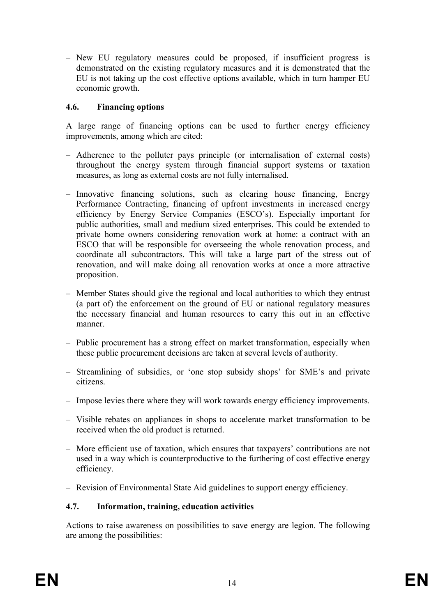– New EU regulatory measures could be proposed, if insufficient progress is demonstrated on the existing regulatory measures and it is demonstrated that the EU is not taking up the cost effective options available, which in turn hamper EU economic growth.

## **4.6. Financing options**

A large range of financing options can be used to further energy efficiency improvements, among which are cited:

- Adherence to the polluter pays principle (or internalisation of external costs) throughout the energy system through financial support systems or taxation measures, as long as external costs are not fully internalised.
- Innovative financing solutions, such as clearing house financing, Energy Performance Contracting, financing of upfront investments in increased energy efficiency by Energy Service Companies (ESCO's). Especially important for public authorities, small and medium sized enterprises. This could be extended to private home owners considering renovation work at home: a contract with an ESCO that will be responsible for overseeing the whole renovation process, and coordinate all subcontractors. This will take a large part of the stress out of renovation, and will make doing all renovation works at once a more attractive proposition.
- Member States should give the regional and local authorities to which they entrust (a part of) the enforcement on the ground of EU or national regulatory measures the necessary financial and human resources to carry this out in an effective manner.
- Public procurement has a strong effect on market transformation, especially when these public procurement decisions are taken at several levels of authority.
- Streamlining of subsidies, or 'one stop subsidy shops' for SME's and private citizens.
- Impose levies there where they will work towards energy efficiency improvements.
- Visible rebates on appliances in shops to accelerate market transformation to be received when the old product is returned.
- More efficient use of taxation, which ensures that taxpayers' contributions are not used in a way which is counterproductive to the furthering of cost effective energy efficiency.
- Revision of Environmental State Aid guidelines to support energy efficiency.

#### **4.7. Information, training, education activities**

Actions to raise awareness on possibilities to save energy are legion. The following are among the possibilities: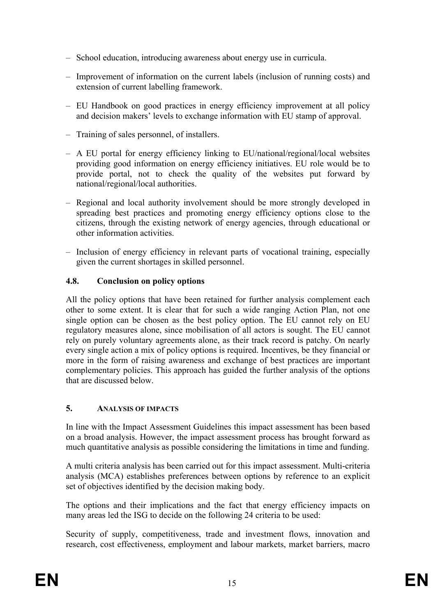- School education, introducing awareness about energy use in curricula.
- Improvement of information on the current labels (inclusion of running costs) and extension of current labelling framework.
- EU Handbook on good practices in energy efficiency improvement at all policy and decision makers' levels to exchange information with EU stamp of approval.
- Training of sales personnel, of installers.
- A EU portal for energy efficiency linking to EU/national/regional/local websites providing good information on energy efficiency initiatives. EU role would be to provide portal, not to check the quality of the websites put forward by national/regional/local authorities.
- Regional and local authority involvement should be more strongly developed in spreading best practices and promoting energy efficiency options close to the citizens, through the existing network of energy agencies, through educational or other information activities.
- Inclusion of energy efficiency in relevant parts of vocational training, especially given the current shortages in skilled personnel.

# **4.8. Conclusion on policy options**

All the policy options that have been retained for further analysis complement each other to some extent. It is clear that for such a wide ranging Action Plan, not one single option can be chosen as the best policy option. The EU cannot rely on EU regulatory measures alone, since mobilisation of all actors is sought. The EU cannot rely on purely voluntary agreements alone, as their track record is patchy. On nearly every single action a mix of policy options is required. Incentives, be they financial or more in the form of raising awareness and exchange of best practices are important complementary policies. This approach has guided the further analysis of the options that are discussed below.

# **5. ANALYSIS OF IMPACTS**

In line with the Impact Assessment Guidelines this impact assessment has been based on a broad analysis. However, the impact assessment process has brought forward as much quantitative analysis as possible considering the limitations in time and funding.

A multi criteria analysis has been carried out for this impact assessment. Multi-criteria analysis (MCA) establishes preferences between options by reference to an explicit set of objectives identified by the decision making body.

The options and their implications and the fact that energy efficiency impacts on many areas led the ISG to decide on the following 24 criteria to be used:

Security of supply, competitiveness, trade and investment flows, innovation and research, cost effectiveness, employment and labour markets, market barriers, macro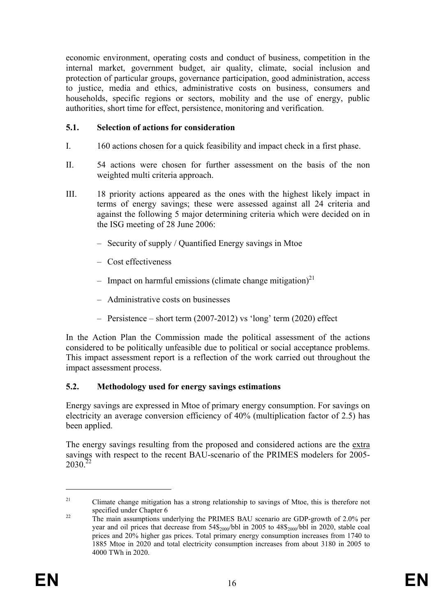economic environment, operating costs and conduct of business, competition in the internal market, government budget, air quality, climate, social inclusion and protection of particular groups, governance participation, good administration, access to justice, media and ethics, administrative costs on business, consumers and households, specific regions or sectors, mobility and the use of energy, public authorities, short time for effect, persistence, monitoring and verification.

#### **5.1. Selection of actions for consideration**

- I. 160 actions chosen for a quick feasibility and impact check in a first phase.
- II. 54 actions were chosen for further assessment on the basis of the non weighted multi criteria approach.
- III. 18 priority actions appeared as the ones with the highest likely impact in terms of energy savings; these were assessed against all 24 criteria and against the following 5 major determining criteria which were decided on in the ISG meeting of 28 June 2006:
	- Security of supply / Quantified Energy savings in Mtoe
	- Cost effectiveness
	- Impact on harmful emissions (climate change mitigation)<sup>21</sup>
	- Administrative costs on businesses
	- Persistence short term (2007-2012) vs 'long' term (2020) effect

In the Action Plan the Commission made the political assessment of the actions considered to be politically unfeasible due to political or social acceptance problems. This impact assessment report is a reflection of the work carried out throughout the impact assessment process.

# **5.2. Methodology used for energy savings estimations**

Energy savings are expressed in Mtoe of primary energy consumption. For savings on electricity an average conversion efficiency of 40% (multiplication factor of 2.5) has been applied.

The energy savings resulting from the proposed and considered actions are the extra savings with respect to the recent BAU-scenario of the PRIMES modelers for 2005-  $2030^{22}$ 

1

<sup>&</sup>lt;sup>21</sup> Climate change mitigation has a strong relationship to savings of Mtoe, this is therefore not

specified under Chapter 6<br>The main assumptions underlying the PRIMES BAU scenario are GDP-growth of 2.0% per year and oil prices that decrease from  $54\frac{6}{2000}$  bbl in 2005 to  $48\frac{6}{2000}$  bbl in 2020, stable coal prices and 20% higher gas prices. Total primary energy consumption increases from 1740 to 1885 Mtoe in 2020 and total electricity consumption increases from about 3180 in 2005 to 4000 TWh in 2020.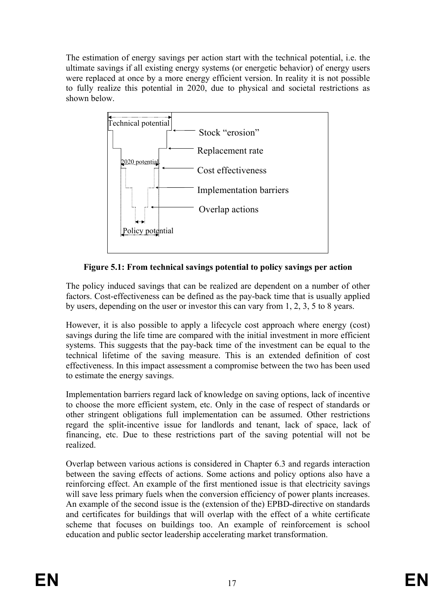The estimation of energy savings per action start with the technical potential, i.e. the ultimate savings if all existing energy systems (or energetic behavior) of energy users were replaced at once by a more energy efficient version. In reality it is not possible to fully realize this potential in 2020, due to physical and societal restrictions as shown below.



**Figure 5.1: From technical savings potential to policy savings per action** 

The policy induced savings that can be realized are dependent on a number of other factors. Cost-effectiveness can be defined as the pay-back time that is usually applied by users, depending on the user or investor this can vary from 1, 2, 3, 5 to 8 years.

However, it is also possible to apply a lifecycle cost approach where energy (cost) savings during the life time are compared with the initial investment in more efficient systems. This suggests that the pay-back time of the investment can be equal to the technical lifetime of the saving measure. This is an extended definition of cost effectiveness. In this impact assessment a compromise between the two has been used to estimate the energy savings.

Implementation barriers regard lack of knowledge on saving options, lack of incentive to choose the more efficient system, etc. Only in the case of respect of standards or other stringent obligations full implementation can be assumed. Other restrictions regard the split-incentive issue for landlords and tenant, lack of space, lack of financing, etc. Due to these restrictions part of the saving potential will not be realized.

Overlap between various actions is considered in Chapter 6.3 and regards interaction between the saving effects of actions. Some actions and policy options also have a reinforcing effect. An example of the first mentioned issue is that electricity savings will save less primary fuels when the conversion efficiency of power plants increases. An example of the second issue is the (extension of the) EPBD-directive on standards and certificates for buildings that will overlap with the effect of a white certificate scheme that focuses on buildings too. An example of reinforcement is school education and public sector leadership accelerating market transformation.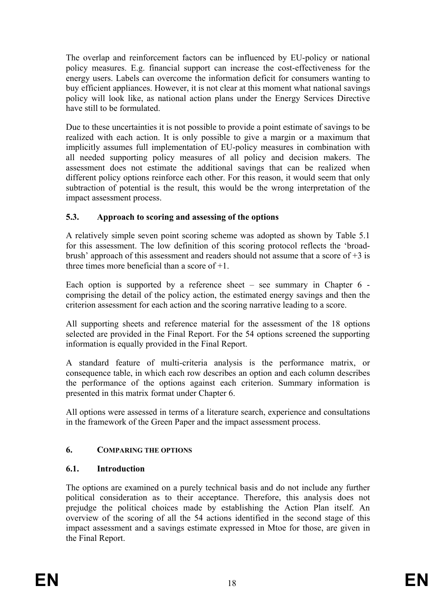The overlap and reinforcement factors can be influenced by EU-policy or national policy measures. E.g. financial support can increase the cost-effectiveness for the energy users. Labels can overcome the information deficit for consumers wanting to buy efficient appliances. However, it is not clear at this moment what national savings policy will look like, as national action plans under the Energy Services Directive have still to be formulated.

Due to these uncertainties it is not possible to provide a point estimate of savings to be realized with each action. It is only possible to give a margin or a maximum that implicitly assumes full implementation of EU-policy measures in combination with all needed supporting policy measures of all policy and decision makers. The assessment does not estimate the additional savings that can be realized when different policy options reinforce each other. For this reason, it would seem that only subtraction of potential is the result, this would be the wrong interpretation of the impact assessment process.

# **5.3. Approach to scoring and assessing of the options**

A relatively simple seven point scoring scheme was adopted as shown by Table 5.1 for this assessment. The low definition of this scoring protocol reflects the 'broadbrush' approach of this assessment and readers should not assume that a score of  $+3$  is three times more beneficial than a score of  $+1$ .

Each option is supported by a reference sheet – see summary in Chapter  $6$  comprising the detail of the policy action, the estimated energy savings and then the criterion assessment for each action and the scoring narrative leading to a score.

All supporting sheets and reference material for the assessment of the 18 options selected are provided in the Final Report. For the 54 options screened the supporting information is equally provided in the Final Report.

A standard feature of multi-criteria analysis is the performance matrix, or consequence table, in which each row describes an option and each column describes the performance of the options against each criterion. Summary information is presented in this matrix format under Chapter 6.

All options were assessed in terms of a literature search, experience and consultations in the framework of the Green Paper and the impact assessment process.

# **6. COMPARING THE OPTIONS**

# **6.1. Introduction**

The options are examined on a purely technical basis and do not include any further political consideration as to their acceptance. Therefore, this analysis does not prejudge the political choices made by establishing the Action Plan itself. An overview of the scoring of all the 54 actions identified in the second stage of this impact assessment and a savings estimate expressed in Mtoe for those, are given in the Final Report.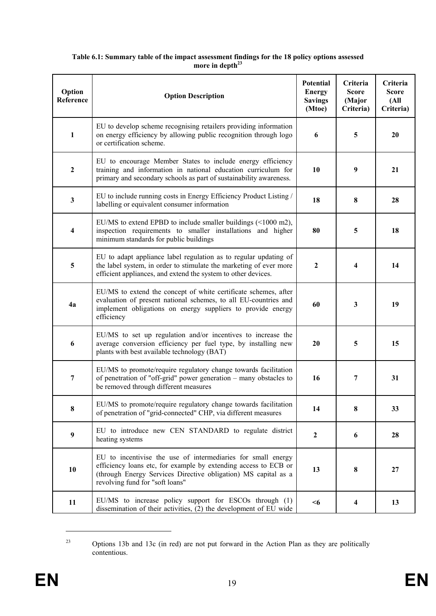| Option<br>Reference     | <b>Option Description</b>                                                                                                                                                                                                            | <b>Potential</b><br><b>Energy</b><br><b>Savings</b><br>(Mtoe) | Criteria<br><b>Score</b><br>(Major<br>Criteria) | Criteria<br><b>Score</b><br>(A <sup>II</sup> )<br>Criteria) |
|-------------------------|--------------------------------------------------------------------------------------------------------------------------------------------------------------------------------------------------------------------------------------|---------------------------------------------------------------|-------------------------------------------------|-------------------------------------------------------------|
| $\mathbf{1}$            | EU to develop scheme recognising retailers providing information<br>on energy efficiency by allowing public recognition through logo<br>or certification scheme.                                                                     | 6                                                             | 5                                               | 20                                                          |
| $\boldsymbol{2}$        | EU to encourage Member States to include energy efficiency<br>training and information in national education curriculum for<br>primary and secondary schools as part of sustainability awareness.                                    | 10                                                            | $\boldsymbol{9}$                                | 21                                                          |
| $\mathbf{3}$            | EU to include running costs in Energy Efficiency Product Listing /<br>labelling or equivalent consumer information                                                                                                                   | 18                                                            | 8                                               | 28                                                          |
| $\overline{\mathbf{4}}$ | EU/MS to extend EPBD to include smaller buildings (<1000 m2),<br>inspection requirements to smaller installations and higher<br>minimum standards for public buildings                                                               | 80                                                            | 5                                               | 18                                                          |
| 5                       | EU to adapt appliance label regulation as to regular updating of<br>the label system, in order to stimulate the marketing of ever more<br>efficient appliances, and extend the system to other devices.                              | $\boldsymbol{2}$                                              | 4                                               | 14                                                          |
| 4a                      | EU/MS to extend the concept of white certificate schemes, after<br>evaluation of present national schemes, to all EU-countries and<br>implement obligations on energy suppliers to provide energy<br>efficiency                      | 60                                                            | $\mathbf{3}$                                    | 19                                                          |
| 6                       | EU/MS to set up regulation and/or incentives to increase the<br>average conversion efficiency per fuel type, by installing new<br>plants with best available technology (BAT)                                                        | 20                                                            | 5                                               | 15                                                          |
| 7                       | EU/MS to promote/require regulatory change towards facilitation<br>of penetration of "off-grid" power generation – many obstacles to<br>be removed through different measures                                                        | 16                                                            | 7                                               | 31                                                          |
| 8                       | EU/MS to promote/require regulatory change towards facilitation<br>of penetration of "grid-connected" CHP, via different measures                                                                                                    | 14                                                            | 8                                               | 33                                                          |
| 9                       | EU to introduce new CEN STANDARD to regulate district<br>heating systems                                                                                                                                                             | $\mathbf{2}$                                                  | 6                                               | 28                                                          |
| 10                      | EU to incentivise the use of intermediaries for small energy<br>efficiency loans etc, for example by extending access to ECB or<br>(through Energy Services Directive obligation) MS capital as a<br>revolving fund for "soft loans" | 13                                                            | 8                                               | 27                                                          |
| 11                      | EU/MS to increase policy support for ESCOs through (1)<br>dissemination of their activities, (2) the development of EU wide                                                                                                          | $6$                                                           | $\overline{\mathbf{4}}$                         | 13                                                          |

#### **Table 6.1: Summary table of the impact assessment findings for the 18 policy options assessed**  more in depth<sup>23</sup>

<u>.</u>

<sup>&</sup>lt;sup>23</sup> Options 13b and 13c (in red) are not put forward in the Action Plan as they are politically contentious.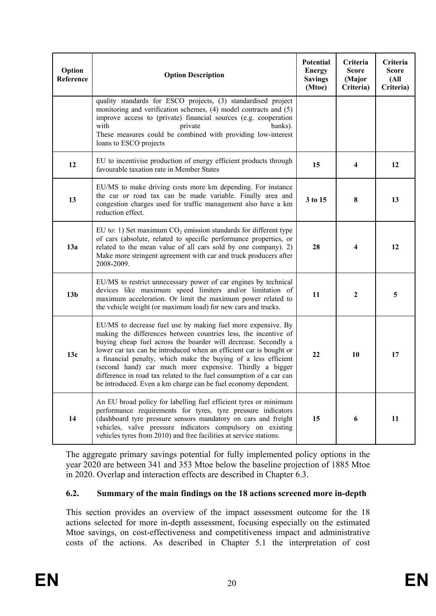| Option<br>Reference | <b>Option Description</b>                                                                                                                                                                                                                                                                                                                                                                                                                                                                                                                     | <b>Potential</b><br><b>Energy</b><br><b>Savings</b><br>(Mtoe) | Criteria<br><b>Score</b><br>(Major<br>Criteria) | Criteria<br><b>Score</b><br>(All<br>Criteria) |
|---------------------|-----------------------------------------------------------------------------------------------------------------------------------------------------------------------------------------------------------------------------------------------------------------------------------------------------------------------------------------------------------------------------------------------------------------------------------------------------------------------------------------------------------------------------------------------|---------------------------------------------------------------|-------------------------------------------------|-----------------------------------------------|
|                     | quality standards for ESCO projects, (3) standardised project<br>monitoring and verification schemes, (4) model contracts and (5)<br>improve access to (private) financial sources (e.g. cooperation<br>with<br>private<br>banks).<br>These measures could be combined with providing low-interest<br>loans to ESCO projects                                                                                                                                                                                                                  |                                                               |                                                 |                                               |
| 12                  | EU to incentivise production of energy efficient products through<br>favourable taxation rate in Member States                                                                                                                                                                                                                                                                                                                                                                                                                                | 15                                                            | 4                                               | 12                                            |
| 13                  | EU/MS to make driving costs more km depending. For instance<br>the car or road tax can be made variable. Finally area and<br>congestion charges used for traffic management also have a km<br>reduction effect.                                                                                                                                                                                                                                                                                                                               | 3 to 15                                                       | 8                                               | 13                                            |
| 13a                 | EU to: 1) Set maximum $CO2$ emission standards for different type<br>of cars (absolute, related to specific performance properties, or<br>related to the mean value of all cars sold by one company). 2)<br>Make more stringent agreement with car and truck producers after<br>2008-2009.                                                                                                                                                                                                                                                    | 28                                                            | 4                                               | 12                                            |
| 13 <sub>b</sub>     | EU/MS to restrict unnecessary power of car engines by technical<br>devices like maximum speed limiters and/or limitation of<br>maximum acceleration. Or limit the maximum power related to<br>the vehicle weight (or maximum load) for new cars and trucks.                                                                                                                                                                                                                                                                                   | 11                                                            | $\boldsymbol{2}$                                | 5                                             |
| 13c                 | EU/MS to decrease fuel use by making fuel more expensive. By<br>making the differences between countries less, the incentive of<br>buying cheap fuel across the boarder will decrease. Secondly a<br>lower car tax can be introduced when an efficient car is bought or<br>a financial penalty, which make the buying of a less efficient<br>(second hand) car much more expensive. Thirdly a bigger<br>difference in road tax related to the fuel consumption of a car can<br>be introduced. Even a km charge can be fuel economy dependent. | 22                                                            | 10                                              | 17                                            |
| 14                  | An EU broad policy for labelling fuel efficient tyres or minimum<br>performance requirements for tyres, tyre pressure indicators<br>(dashboard tyre pressure sensors mandatory on cars and freight<br>vehicles, valve pressure indicators compulsory on existing<br>vehicles tyres from 2010) and free facilities at service stations.                                                                                                                                                                                                        | 15                                                            | 6                                               | 11                                            |

The aggregate primary savings potential for fully implemented policy options in the year 2020 are between 341 and 353 Mtoe below the baseline projection of 1885 Mtoe in 2020. Overlap and interaction effects are described in Chapter 6.3.

#### **6.2. Summary of the main findings on the 18 actions screened more in-depth**

This section provides an overview of the impact assessment outcome for the 18 actions selected for more in-depth assessment, focusing especially on the estimated Mtoe savings, on cost-effectiveness and competitiveness impact and administrative costs of the actions. As described in Chapter 5.1 the interpretation of cost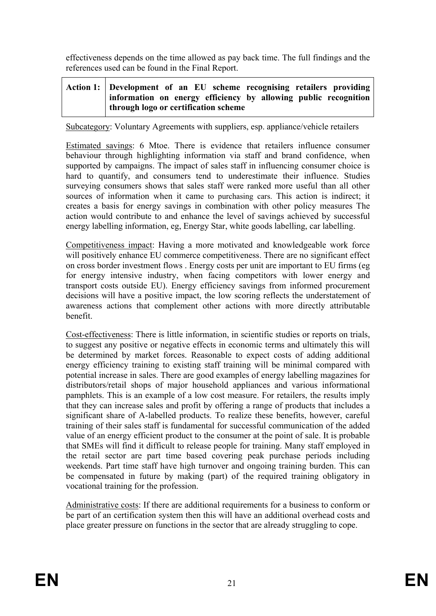effectiveness depends on the time allowed as pay back time. The full findings and the references used can be found in the Final Report.

#### **Action 1: Development of an EU scheme recognising retailers providing information on energy efficiency by allowing public recognition through logo or certification scheme**

Subcategory: Voluntary Agreements with suppliers, esp. appliance/vehicle retailers

Estimated savings: 6 Mtoe. There is evidence that retailers influence consumer behaviour through highlighting information via staff and brand confidence, when supported by campaigns. The impact of sales staff in influencing consumer choice is hard to quantify, and consumers tend to underestimate their influence. Studies surveying consumers shows that sales staff were ranked more useful than all other sources of information when it came to purchasing cars. This action is indirect; it creates a basis for energy savings in combination with other policy measures The action would contribute to and enhance the level of savings achieved by successful energy labelling information, eg, Energy Star, white goods labelling, car labelling.

Competitiveness impact: Having a more motivated and knowledgeable work force will positively enhance EU commerce competitiveness. There are no significant effect on cross border investment flows . Energy costs per unit are important to EU firms (eg for energy intensive industry, when facing competitors with lower energy and transport costs outside EU). Energy efficiency savings from informed procurement decisions will have a positive impact, the low scoring reflects the understatement of awareness actions that complement other actions with more directly attributable benefit.

Cost-effectiveness: There is little information, in scientific studies or reports on trials, to suggest any positive or negative effects in economic terms and ultimately this will be determined by market forces. Reasonable to expect costs of adding additional energy efficiency training to existing staff training will be minimal compared with potential increase in sales. There are good examples of energy labelling magazines for distributors/retail shops of major household appliances and various informational pamphlets. This is an example of a low cost measure. For retailers, the results imply that they can increase sales and profit by offering a range of products that includes a significant share of A-labelled products. To realize these benefits, however, careful training of their sales staff is fundamental for successful communication of the added value of an energy efficient product to the consumer at the point of sale. It is probable that SMEs will find it difficult to release people for training. Many staff employed in the retail sector are part time based covering peak purchase periods including weekends. Part time staff have high turnover and ongoing training burden. This can be compensated in future by making (part) of the required training obligatory in vocational training for the profession.

Administrative costs: If there are additional requirements for a business to conform or be part of an certification system then this will have an additional overhead costs and place greater pressure on functions in the sector that are already struggling to cope.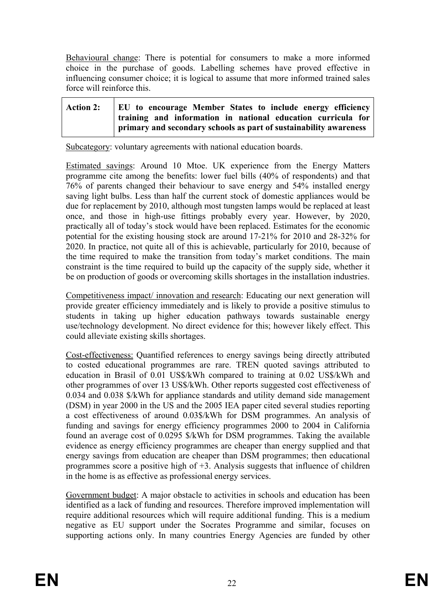Behavioural change: There is potential for consumers to make a more informed choice in the purchase of goods. Labelling schemes have proved effective in influencing consumer choice; it is logical to assume that more informed trained sales force will reinforce this.

# **Action 2: EU to encourage Member States to include energy efficiency training and information in national education curricula for primary and secondary schools as part of sustainability awareness**

Subcategory: voluntary agreements with national education boards.

Estimated savings: Around 10 Mtoe. UK experience from the Energy Matters programme cite among the benefits: lower fuel bills (40% of respondents) and that 76% of parents changed their behaviour to save energy and 54% installed energy saving light bulbs. Less than half the current stock of domestic appliances would be due for replacement by 2010, although most tungsten lamps would be replaced at least once, and those in high-use fittings probably every year. However, by 2020, practically all of today's stock would have been replaced. Estimates for the economic potential for the existing housing stock are around 17-21% for 2010 and 28-32% for 2020. In practice, not quite all of this is achievable, particularly for 2010, because of the time required to make the transition from today's market conditions. The main constraint is the time required to build up the capacity of the supply side, whether it be on production of goods or overcoming skills shortages in the installation industries.

Competitiveness impact/ innovation and research: Educating our next generation will provide greater efficiency immediately and is likely to provide a positive stimulus to students in taking up higher education pathways towards sustainable energy use/technology development. No direct evidence for this; however likely effect. This could alleviate existing skills shortages.

Cost-effectiveness: Quantified references to energy savings being directly attributed to costed educational programmes are rare. TREN quoted savings attributed to education in Brasil of 0.01 US\$/kWh compared to training at 0.02 US\$/kWh and other programmes of over 13 US\$/kWh. Other reports suggested cost effectiveness of 0.034 and 0.038 \$/kWh for appliance standards and utility demand side management (DSM) in year 2000 in the US and the 2005 IEA paper cited several studies reporting a cost effectiveness of around 0.03\$/kWh for DSM programmes. An analysis of funding and savings for energy efficiency programmes 2000 to 2004 in California found an average cost of 0.0295 \$/kWh for DSM programmes. Taking the available evidence as energy efficiency programmes are cheaper than energy supplied and that energy savings from education are cheaper than DSM programmes; then educational programmes score a positive high of +3. Analysis suggests that influence of children in the home is as effective as professional energy services.

Government budget: A major obstacle to activities in schools and education has been identified as a lack of funding and resources. Therefore improved implementation will require additional resources which will require additional funding. This is a medium negative as EU support under the Socrates Programme and similar, focuses on supporting actions only. In many countries Energy Agencies are funded by other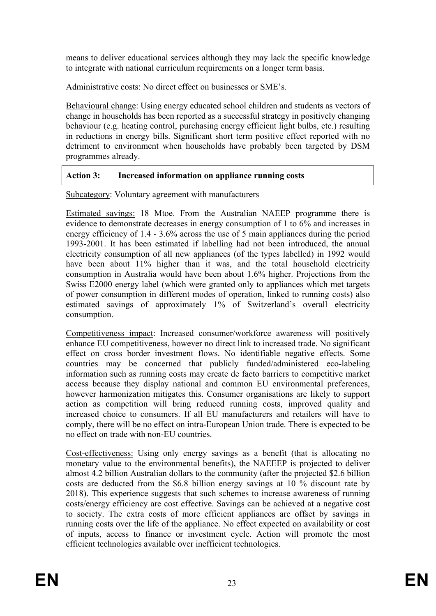means to deliver educational services although they may lack the specific knowledge to integrate with national curriculum requirements on a longer term basis.

Administrative costs: No direct effect on businesses or SME's.

Behavioural change: Using energy educated school children and students as vectors of change in households has been reported as a successful strategy in positively changing behaviour (e.g. heating control, purchasing energy efficient light bulbs, etc.) resulting in reductions in energy bills. Significant short term positive effect reported with no detriment to environment when households have probably been targeted by DSM programmes already.

| <b>Action 3:</b> | .   Increased information on appliance running costs |  |
|------------------|------------------------------------------------------|--|
|                  |                                                      |  |

Subcategory: Voluntary agreement with manufacturers

Estimated savings: 18 Mtoe. From the Australian NAEEP programme there is evidence to demonstrate decreases in energy consumption of 1 to 6% and increases in energy efficiency of 1.4 - 3.6% across the use of 5 main appliances during the period 1993-2001. It has been estimated if labelling had not been introduced, the annual electricity consumption of all new appliances (of the types labelled) in 1992 would have been about 11% higher than it was, and the total household electricity consumption in Australia would have been about 1.6% higher. Projections from the Swiss E2000 energy label (which were granted only to appliances which met targets of power consumption in different modes of operation, linked to running costs) also estimated savings of approximately 1% of Switzerland's overall electricity consumption.

Competitiveness impact: Increased consumer/workforce awareness will positively enhance EU competitiveness, however no direct link to increased trade. No significant effect on cross border investment flows. No identifiable negative effects. Some countries may be concerned that publicly funded/administered eco-labeling information such as running costs may create de facto barriers to competitive market access because they display national and common EU environmental preferences, however harmonization mitigates this. Consumer organisations are likely to support action as competition will bring reduced running costs, improved quality and increased choice to consumers. If all EU manufacturers and retailers will have to comply, there will be no effect on intra-European Union trade. There is expected to be no effect on trade with non-EU countries.

Cost-effectiveness: Using only energy savings as a benefit (that is allocating no monetary value to the environmental benefits), the NAEEEP is projected to deliver almost 4.2 billion Australian dollars to the community (after the projected \$2.6 billion costs are deducted from the \$6.8 billion energy savings at 10 % discount rate by 2018). This experience suggests that such schemes to increase awareness of running costs/energy efficiency are cost effective. Savings can be achieved at a negative cost to society. The extra costs of more efficient appliances are offset by savings in running costs over the life of the appliance. No effect expected on availability or cost of inputs, access to finance or investment cycle. Action will promote the most efficient technologies available over inefficient technologies.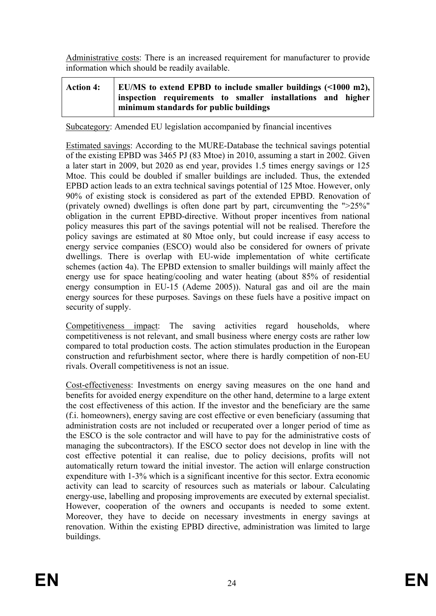Administrative costs: There is an increased requirement for manufacturer to provide information which should be readily available.

| <b>Action 4:</b> | EU/MS to extend EPBD to include smaller buildings $($ 1000 m2), |                                                             |  |  |  |  |  |  |  |
|------------------|-----------------------------------------------------------------|-------------------------------------------------------------|--|--|--|--|--|--|--|
|                  |                                                                 | inspection requirements to smaller installations and higher |  |  |  |  |  |  |  |
|                  |                                                                 | minimum standards for public buildings                      |  |  |  |  |  |  |  |

Subcategory: Amended EU legislation accompanied by financial incentives

Estimated savings: According to the MURE-Database the technical savings potential of the existing EPBD was 3465 PJ (83 Mtoe) in 2010, assuming a start in 2002. Given a later start in 2009, but 2020 as end year, provides 1.5 times energy savings or 125 Mtoe. This could be doubled if smaller buildings are included. Thus, the extended EPBD action leads to an extra technical savings potential of 125 Mtoe. However, only 90% of existing stock is considered as part of the extended EPBD. Renovation of (privately owned) dwellings is often done part by part, circumventing the ">25%" obligation in the current EPBD-directive. Without proper incentives from national policy measures this part of the savings potential will not be realised. Therefore the policy savings are estimated at 80 Mtoe only, but could increase if easy access to energy service companies (ESCO) would also be considered for owners of private dwellings. There is overlap with EU-wide implementation of white certificate schemes (action 4a). The EPBD extension to smaller buildings will mainly affect the energy use for space heating/cooling and water heating (about 85% of residential energy consumption in EU-15 (Ademe 2005)). Natural gas and oil are the main energy sources for these purposes. Savings on these fuels have a positive impact on security of supply.

Competitiveness impact: The saving activities regard households, where competitiveness is not relevant, and small business where energy costs are rather low compared to total production costs. The action stimulates production in the European construction and refurbishment sector, where there is hardly competition of non-EU rivals. Overall competitiveness is not an issue.

Cost-effectiveness: Investments on energy saving measures on the one hand and benefits for avoided energy expenditure on the other hand, determine to a large extent the cost effectiveness of this action. If the investor and the beneficiary are the same (f.i. homeowners), energy saving are cost effective or even beneficiary (assuming that administration costs are not included or recuperated over a longer period of time as the ESCO is the sole contractor and will have to pay for the administrative costs of managing the subcontractors). If the ESCO sector does not develop in line with the cost effective potential it can realise, due to policy decisions, profits will not automatically return toward the initial investor. The action will enlarge construction expenditure with 1-3% which is a significant incentive for this sector. Extra economic activity can lead to scarcity of resources such as materials or labour. Calculating energy-use, labelling and proposing improvements are executed by external specialist. However, cooperation of the owners and occupants is needed to some extent. Moreover, they have to decide on necessary investments in energy savings at renovation. Within the existing EPBD directive, administration was limited to large buildings.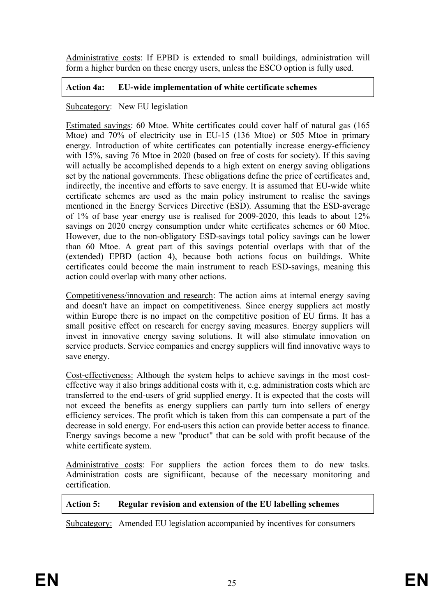Administrative costs: If EPBD is extended to small buildings, administration will form a higher burden on these energy users, unless the ESCO option is fully used.

# **Action 4a: EU-wide implementation of white certificate schemes**

#### Subcategory: New EU legislation

Estimated savings: 60 Mtoe. White certificates could cover half of natural gas (165 Mtoe) and 70% of electricity use in EU-15 (136 Mtoe) or 505 Mtoe in primary energy. Introduction of white certificates can potentially increase energy-efficiency with 15%, saving 76 Mtoe in 2020 (based on free of costs for society). If this saving will actually be accomplished depends to a high extent on energy saving obligations set by the national governments. These obligations define the price of certificates and, indirectly, the incentive and efforts to save energy. It is assumed that EU-wide white certificate schemes are used as the main policy instrument to realise the savings mentioned in the Energy Services Directive (ESD). Assuming that the ESD-average of 1% of base year energy use is realised for 2009-2020, this leads to about 12% savings on 2020 energy consumption under white certificates schemes or 60 Mtoe. However, due to the non-obligatory ESD-savings total policy savings can be lower than 60 Mtoe. A great part of this savings potential overlaps with that of the (extended) EPBD (action 4), because both actions focus on buildings. White certificates could become the main instrument to reach ESD-savings, meaning this action could overlap with many other actions.

Competitiveness/innovation and research: The action aims at internal energy saving and doesn't have an impact on competitiveness. Since energy suppliers act mostly within Europe there is no impact on the competitive position of EU firms. It has a small positive effect on research for energy saving measures. Energy suppliers will invest in innovative energy saving solutions. It will also stimulate innovation on service products. Service companies and energy suppliers will find innovative ways to save energy.

Cost-effectiveness: Although the system helps to achieve savings in the most costeffective way it also brings additional costs with it, e.g. administration costs which are transferred to the end-users of grid supplied energy. It is expected that the costs will not exceed the benefits as energy suppliers can partly turn into sellers of energy efficiency services. The profit which is taken from this can compensate a part of the decrease in sold energy. For end-users this action can provide better access to finance. Energy savings become a new "product" that can be sold with profit because of the white certificate system.

Administrative costs: For suppliers the action forces them to do new tasks. Administration costs are signifiicant, because of the necessary monitoring and certification.

| <b>Action 5:</b> | Regular revision and extension of the EU labelling schemes |
|------------------|------------------------------------------------------------|
|                  |                                                            |

Subcategory: Amended EU legislation accompanied by incentives for consumers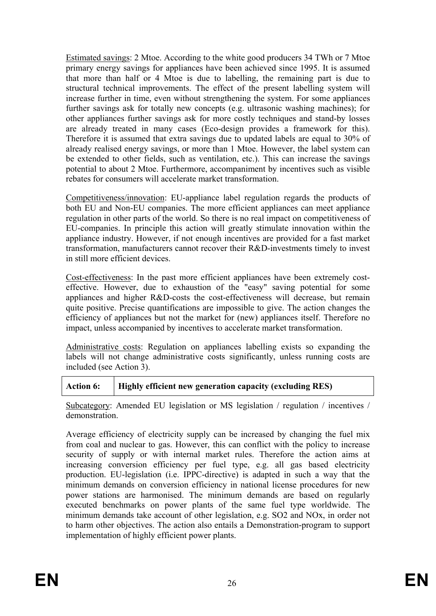Estimated savings: 2 Mtoe. According to the white good producers 34 TWh or 7 Mtoe primary energy savings for appliances have been achieved since 1995. It is assumed that more than half or 4 Mtoe is due to labelling, the remaining part is due to structural technical improvements. The effect of the present labelling system will increase further in time, even without strengthening the system. For some appliances further savings ask for totally new concepts (e.g. ultrasonic washing machines); for other appliances further savings ask for more costly techniques and stand-by losses are already treated in many cases (Eco-design provides a framework for this). Therefore it is assumed that extra savings due to updated labels are equal to 30% of already realised energy savings, or more than 1 Mtoe. However, the label system can be extended to other fields, such as ventilation, etc.). This can increase the savings potential to about 2 Mtoe. Furthermore, accompaniment by incentives such as visible rebates for consumers will accelerate market transformation.

Competitiveness/innovation: EU-appliance label regulation regards the products of both EU and Non-EU companies. The more efficient appliances can meet appliance regulation in other parts of the world. So there is no real impact on competitiveness of EU-companies. In principle this action will greatly stimulate innovation within the appliance industry. However, if not enough incentives are provided for a fast market transformation, manufacturers cannot recover their R&D-investments timely to invest in still more efficient devices.

Cost-effectiveness: In the past more efficient appliances have been extremely costeffective. However, due to exhaustion of the "easy" saving potential for some appliances and higher R&D-costs the cost-effectiveness will decrease, but remain quite positive. Precise quantifications are impossible to give. The action changes the efficiency of appliances but not the market for (new) appliances itself. Therefore no impact, unless accompanied by incentives to accelerate market transformation.

Administrative costs: Regulation on appliances labelling exists so expanding the labels will not change administrative costs significantly, unless running costs are included (see Action 3).

| <b>Action 6:</b> | Highly efficient new generation capacity (excluding RES) |
|------------------|----------------------------------------------------------|
|                  |                                                          |

Subcategory: Amended EU legislation or MS legislation / regulation / incentives / demonstration.

Average efficiency of electricity supply can be increased by changing the fuel mix from coal and nuclear to gas. However, this can conflict with the policy to increase security of supply or with internal market rules. Therefore the action aims at increasing conversion efficiency per fuel type, e.g. all gas based electricity production. EU-legislation (i.e. IPPC-directive) is adapted in such a way that the minimum demands on conversion efficiency in national license procedures for new power stations are harmonised. The minimum demands are based on regularly executed benchmarks on power plants of the same fuel type worldwide. The minimum demands take account of other legislation, e.g. SO2 and NOx, in order not to harm other objectives. The action also entails a Demonstration-program to support implementation of highly efficient power plants.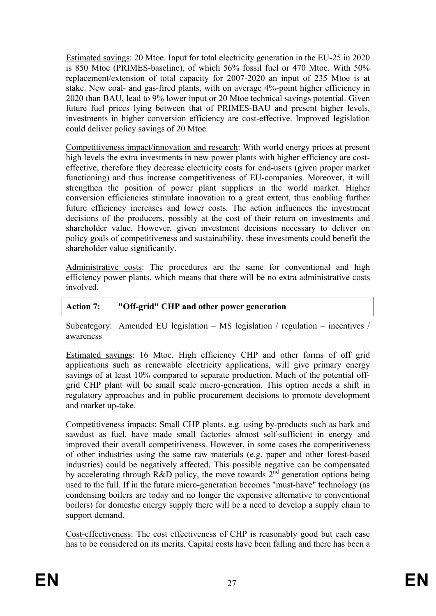Estimated savings: 20 Mtoe. Input for total electricity generation in the EU-25 in 2020 is 850 Mtoe (PRIMES-baseline), of which 56% fossil fuel or 470 Mtoe. With 50% replacement/extension of total capacity for 2007-2020 an input of 235 Mtoe is at stake. New coal- and gas-fired plants, with on average 4%-point higher efficiency in 2020 than BAU, lead to 9% lower input or 20 Mtoe technical savings potential. Given future fuel prices lying between that of PRIMES-BAU and present higher levels, investments in higher conversion efficiency are cost-effective. Improved legislation could deliver policy savings of 20 Mtoe.

Competitiveness impact/innovation and research: With world energy prices at present high levels the extra investments in new power plants with higher efficiency are costeffective, therefore they decrease electricity costs for end-users (given proper market functioning) and thus increase competitiveness of EU-companies. Moreover, it will strengthen the position of power plant suppliers in the world market. Higher conversion efficiencies stimulate innovation to a great extent, thus enabling further future efficiency increases and lower costs. The action influences the investment decisions of the producers, possibly at the cost of their return on investments and shareholder value. However, given investment decisions necessary to deliver on policy goals of competitiveness and sustainability, these investments could benefit the shareholder value significantly.

Administrative costs: The procedures are the same for conventional and high efficiency power plants, which means that there will be no extra administrative costs involved.

| <b>Action 7:</b> | "Off-grid" CHP and other power generation |
|------------------|-------------------------------------------|
|------------------|-------------------------------------------|

Subcategory: Amended EU legislation – MS legislation / regulation – incentives / awareness

Estimated savings: 16 Mtoe. High efficiency CHP and other forms of off grid applications such as renewable electricity applications, will give primary energy savings of at least 10% compared to separate production. Much of the potential offgrid CHP plant will be small scale micro-generation. This option needs a shift in regulatory approaches and in public procurement decisions to promote development and market up-take.

Competitiveness impacts: Small CHP plants, e.g. using by-products such as bark and sawdust as fuel, have made small factories almost self-sufficient in energy and improved their overall competitiveness. However, in some cases the competitiveness of other industries using the same raw materials (e.g. paper and other forest-based industries) could be negatively affected. This possible negative can be compensated by accelerating through R&D policy, the move towards  $2<sup>nd</sup>$  generation options being used to the full. If in the future micro-generation becomes "must-have" technology (as condensing boilers are today and no longer the expensive alternative to conventional boilers) for domestic energy supply there will be a need to develop a supply chain to support demand.

Cost-effectiveness: The cost effectiveness of CHP is reasonably good but each case has to be considered on its merits. Capital costs have been falling and there has been a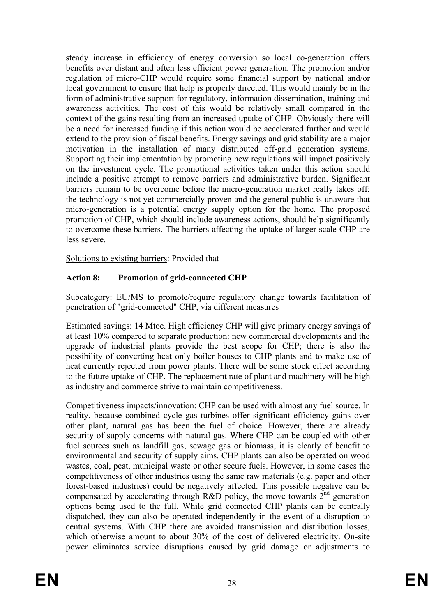steady increase in efficiency of energy conversion so local co-generation offers benefits over distant and often less efficient power generation. The promotion and/or regulation of micro-CHP would require some financial support by national and/or local government to ensure that help is properly directed. This would mainly be in the form of administrative support for regulatory, information dissemination, training and awareness activities. The cost of this would be relatively small compared in the context of the gains resulting from an increased uptake of CHP. Obviously there will be a need for increased funding if this action would be accelerated further and would extend to the provision of fiscal benefits. Energy savings and grid stability are a major motivation in the installation of many distributed off-grid generation systems. Supporting their implementation by promoting new regulations will impact positively on the investment cycle. The promotional activities taken under this action should include a positive attempt to remove barriers and administrative burden. Significant barriers remain to be overcome before the micro-generation market really takes off; the technology is not yet commercially proven and the general public is unaware that micro-generation is a potential energy supply option for the home. The proposed promotion of CHP, which should include awareness actions, should help significantly to overcome these barriers. The barriers affecting the uptake of larger scale CHP are less severe.

Solutions to existing barriers: Provided that

|  | Action 8:   Promotion of grid-connected CHP |
|--|---------------------------------------------|
|--|---------------------------------------------|

Subcategory: EU/MS to promote/require regulatory change towards facilitation of penetration of "grid-connected" CHP, via different measures

Estimated savings: 14 Mtoe. High efficiency CHP will give primary energy savings of at least 10% compared to separate production: new commercial developments and the upgrade of industrial plants provide the best scope for CHP; there is also the possibility of converting heat only boiler houses to CHP plants and to make use of heat currently rejected from power plants. There will be some stock effect according to the future uptake of CHP. The replacement rate of plant and machinery will be high as industry and commerce strive to maintain competitiveness.

Competitiveness impacts/innovation: CHP can be used with almost any fuel source. In reality, because combined cycle gas turbines offer significant efficiency gains over other plant, natural gas has been the fuel of choice. However, there are already security of supply concerns with natural gas. Where CHP can be coupled with other fuel sources such as landfill gas, sewage gas or biomass, it is clearly of benefit to environmental and security of supply aims. CHP plants can also be operated on wood wastes, coal, peat, municipal waste or other secure fuels. However, in some cases the competitiveness of other industries using the same raw materials (e.g. paper and other forest-based industries) could be negatively affected. This possible negative can be compensated by accelerating through R&D policy, the move towards  $2<sup>nd</sup>$  generation options being used to the full. While grid connected CHP plants can be centrally dispatched, they can also be operated independently in the event of a disruption to central systems. With CHP there are avoided transmission and distribution losses, which otherwise amount to about 30% of the cost of delivered electricity. On-site power eliminates service disruptions caused by grid damage or adjustments to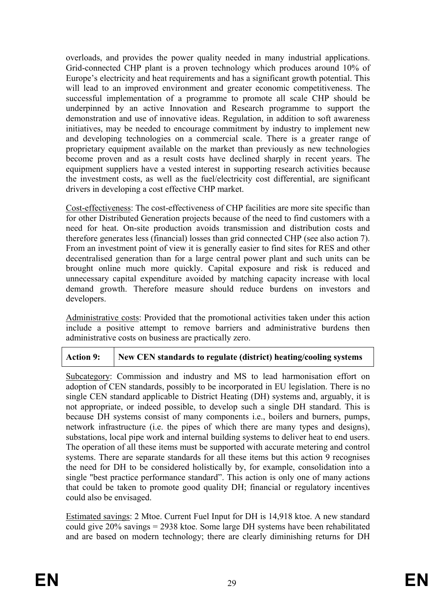overloads, and provides the power quality needed in many industrial applications. Grid-connected CHP plant is a proven technology which produces around 10% of Europe's electricity and heat requirements and has a significant growth potential. This will lead to an improved environment and greater economic competitiveness. The successful implementation of a programme to promote all scale CHP should be underpinned by an active Innovation and Research programme to support the demonstration and use of innovative ideas. Regulation, in addition to soft awareness initiatives, may be needed to encourage commitment by industry to implement new and developing technologies on a commercial scale. There is a greater range of proprietary equipment available on the market than previously as new technologies become proven and as a result costs have declined sharply in recent years. The equipment suppliers have a vested interest in supporting research activities because the investment costs, as well as the fuel/electricity cost differential, are significant drivers in developing a cost effective CHP market.

Cost-effectiveness: The cost-effectiveness of CHP facilities are more site specific than for other Distributed Generation projects because of the need to find customers with a need for heat. On-site production avoids transmission and distribution costs and therefore generates less (financial) losses than grid connected CHP (see also action 7). From an investment point of view it is generally easier to find sites for RES and other decentralised generation than for a large central power plant and such units can be brought online much more quickly. Capital exposure and risk is reduced and unnecessary capital expenditure avoided by matching capacity increase with local demand growth. Therefore measure should reduce burdens on investors and developers.

Administrative costs: Provided that the promotional activities taken under this action include a positive attempt to remove barriers and administrative burdens then administrative costs on business are practically zero.

# **Action 9: New CEN standards to regulate (district) heating/cooling systems**

Subcategory: Commission and industry and MS to lead harmonisation effort on adoption of CEN standards, possibly to be incorporated in EU legislation. There is no single CEN standard applicable to District Heating (DH) systems and, arguably, it is not appropriate, or indeed possible, to develop such a single DH standard. This is because DH systems consist of many components i.e., boilers and burners, pumps, network infrastructure (i.e. the pipes of which there are many types and designs), substations, local pipe work and internal building systems to deliver heat to end users. The operation of all these items must be supported with accurate metering and control systems. There are separate standards for all these items but this action 9 recognises the need for DH to be considered holistically by, for example, consolidation into a single "best practice performance standard". This action is only one of many actions that could be taken to promote good quality DH; financial or regulatory incentives could also be envisaged.

Estimated savings: 2 Mtoe. Current Fuel Input for DH is 14,918 ktoe. A new standard could give 20% savings = 2938 ktoe. Some large DH systems have been rehabilitated and are based on modern technology; there are clearly diminishing returns for DH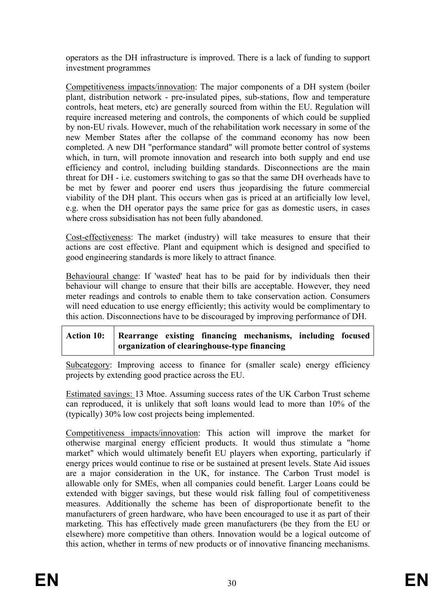operators as the DH infrastructure is improved. There is a lack of funding to support investment programmes

Competitiveness impacts/innovation: The major components of a DH system (boiler plant, distribution network - pre-insulated pipes, sub-stations, flow and temperature controls, heat meters, etc) are generally sourced from within the EU. Regulation will require increased metering and controls, the components of which could be supplied by non-EU rivals. However, much of the rehabilitation work necessary in some of the new Member States after the collapse of the command economy has now been completed. A new DH "performance standard" will promote better control of systems which, in turn, will promote innovation and research into both supply and end use efficiency and control, including building standards. Disconnections are the main threat for DH - i.e. customers switching to gas so that the same DH overheads have to be met by fewer and poorer end users thus jeopardising the future commercial viability of the DH plant. This occurs when gas is priced at an artificially low level, e.g. when the DH operator pays the same price for gas as domestic users, in cases where cross subsidisation has not been fully abandoned.

Cost-effectiveness: The market (industry) will take measures to ensure that their actions are cost effective. Plant and equipment which is designed and specified to good engineering standards is more likely to attract finance.

Behavioural change: If 'wasted' heat has to be paid for by individuals then their behaviour will change to ensure that their bills are acceptable. However, they need meter readings and controls to enable them to take conservation action. Consumers will need education to use energy efficiently; this activity would be complimentary to this action. Disconnections have to be discouraged by improving performance of DH.

# **Action 10: Rearrange existing financing mechanisms, including focused organization of clearinghouse-type financing**

Subcategory: Improving access to finance for (smaller scale) energy efficiency projects by extending good practice across the EU.

Estimated savings: 13 Mtoe. Assuming success rates of the UK Carbon Trust scheme can reproduced, it is unlikely that soft loans would lead to more than 10% of the (typically) 30% low cost projects being implemented.

Competitiveness impacts/innovation: This action will improve the market for otherwise marginal energy efficient products. It would thus stimulate a "home market" which would ultimately benefit EU players when exporting, particularly if energy prices would continue to rise or be sustained at present levels. State Aid issues are a major consideration in the UK, for instance. The Carbon Trust model is allowable only for SMEs, when all companies could benefit. Larger Loans could be extended with bigger savings, but these would risk falling foul of competitiveness measures. Additionally the scheme has been of disproportionate benefit to the manufacturers of green hardware, who have been encouraged to use it as part of their marketing. This has effectively made green manufacturers (be they from the EU or elsewhere) more competitive than others. Innovation would be a logical outcome of this action, whether in terms of new products or of innovative financing mechanisms.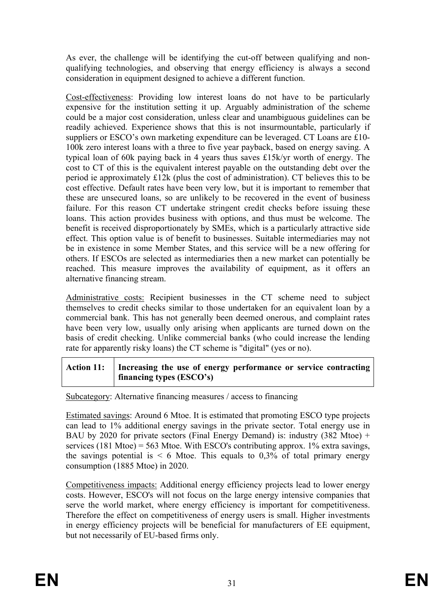As ever, the challenge will be identifying the cut-off between qualifying and nonqualifying technologies, and observing that energy efficiency is always a second consideration in equipment designed to achieve a different function.

Cost-effectiveness: Providing low interest loans do not have to be particularly expensive for the institution setting it up. Arguably administration of the scheme could be a major cost consideration, unless clear and unambiguous guidelines can be readily achieved. Experience shows that this is not insurmountable, particularly if suppliers or ESCO's own marketing expenditure can be leveraged. CT Loans are £10- 100k zero interest loans with a three to five year payback, based on energy saving. A typical loan of 60k paying back in 4 years thus saves £15k/yr worth of energy. The cost to CT of this is the equivalent interest payable on the outstanding debt over the period ie approximately £12k (plus the cost of administration). CT believes this to be cost effective. Default rates have been very low, but it is important to remember that these are unsecured loans, so are unlikely to be recovered in the event of business failure. For this reason CT undertake stringent credit checks before issuing these loans. This action provides business with options, and thus must be welcome. The benefit is received disproportionately by SMEs, which is a particularly attractive side effect. This option value is of benefit to businesses. Suitable intermediaries may not be in existence in some Member States, and this service will be a new offering for others. If ESCOs are selected as intermediaries then a new market can potentially be reached. This measure improves the availability of equipment, as it offers an alternative financing stream.

Administrative costs: Recipient businesses in the CT scheme need to subject themselves to credit checks similar to those undertaken for an equivalent loan by a commercial bank. This has not generally been deemed onerous, and complaint rates have been very low, usually only arising when applicants are turned down on the basis of credit checking. Unlike commercial banks (who could increase the lending rate for apparently risky loans) the CT scheme is "digital" (yes or no).

## **Action 11: Increasing the use of energy performance or service contracting financing types (ESCO's)**

Subcategory: Alternative financing measures / access to financing

Estimated savings: Around 6 Mtoe. It is estimated that promoting ESCO type projects can lead to 1% additional energy savings in the private sector. Total energy use in BAU by 2020 for private sectors (Final Energy Demand) is: industry (382 Mtoe) + services (181 Mtoe) = 563 Mtoe. With ESCO's contributing approx. 1% extra savings, the savings potential is  $\leq 6$  Mtoe. This equals to 0,3% of total primary energy consumption (1885 Mtoe) in 2020.

Competitiveness impacts: Additional energy efficiency projects lead to lower energy costs. However, ESCO's will not focus on the large energy intensive companies that serve the world market, where energy efficiency is important for competitiveness. Therefore the effect on competitiveness of energy users is small. Higher investments in energy efficiency projects will be beneficial for manufacturers of EE equipment, but not necessarily of EU-based firms only.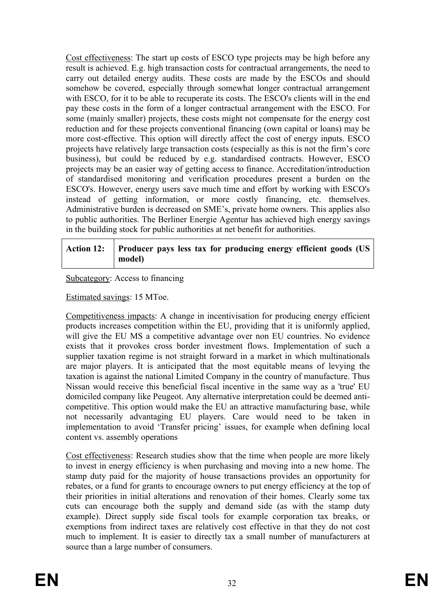Cost effectiveness: The start up costs of ESCO type projects may be high before any result is achieved. E.g. high transaction costs for contractual arrangements, the need to carry out detailed energy audits. These costs are made by the ESCOs and should somehow be covered, especially through somewhat longer contractual arrangement with ESCO, for it to be able to recuperate its costs. The ESCO's clients will in the end pay these costs in the form of a longer contractual arrangement with the ESCO. For some (mainly smaller) projects, these costs might not compensate for the energy cost reduction and for these projects conventional financing (own capital or loans) may be more cost-effective. This option will directly affect the cost of energy inputs. ESCO projects have relatively large transaction costs (especially as this is not the firm's core business), but could be reduced by e.g. standardised contracts. However, ESCO projects may be an easier way of getting access to finance. Accreditation/introduction of standardised monitoring and verification procedures present a burden on the ESCO's. However, energy users save much time and effort by working with ESCO's instead of getting information, or more costly financing, etc. themselves. Administrative burden is decreased on SME's, private home owners. This applies also to public authorities. The Berliner Energie Agentur has achieved high energy savings in the building stock for public authorities at net benefit for authorities.

| Action 12: Producer pays less tax for producing energy efficient goods (US |        |  |  |  |  |  |
|----------------------------------------------------------------------------|--------|--|--|--|--|--|
|                                                                            | model) |  |  |  |  |  |

Subcategory: Access to financing

Estimated savings: 15 MToe.

Competitiveness impacts: A change in incentivisation for producing energy efficient products increases competition within the EU, providing that it is uniformly applied, will give the EU MS a competitive advantage over non EU countries. No evidence exists that it provokes cross border investment flows. Implementation of such a supplier taxation regime is not straight forward in a market in which multinationals are major players. It is anticipated that the most equitable means of levying the taxation is against the national Limited Company in the country of manufacture. Thus Nissan would receive this beneficial fiscal incentive in the same way as a 'true' EU domiciled company like Peugeot. Any alternative interpretation could be deemed anticompetitive. This option would make the EU an attractive manufacturing base, while not necessarily advantaging EU players. Care would need to be taken in implementation to avoid 'Transfer pricing' issues, for example when defining local content vs. assembly operations

Cost effectiveness: Research studies show that the time when people are more likely to invest in energy efficiency is when purchasing and moving into a new home. The stamp duty paid for the majority of house transactions provides an opportunity for rebates, or a fund for grants to encourage owners to put energy efficiency at the top of their priorities in initial alterations and renovation of their homes. Clearly some tax cuts can encourage both the supply and demand side (as with the stamp duty example). Direct supply side fiscal tools for example corporation tax breaks, or exemptions from indirect taxes are relatively cost effective in that they do not cost much to implement. It is easier to directly tax a small number of manufacturers at source than a large number of consumers.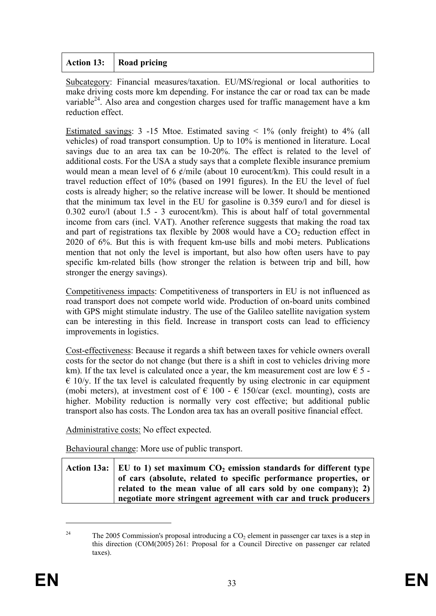# **Action 13: Road pricing**

Subcategory: Financial measures/taxation. EU/MS/regional or local authorities to make driving costs more km depending. For instance the car or road tax can be made variable<sup>24</sup>. Also area and congestion charges used for traffic management have a km reduction effect.

Estimated savings:  $3 -15$  Mtoe. Estimated saving  $\lt 1\%$  (only freight) to  $4\%$  (all vehicles) of road transport consumption. Up to 10% is mentioned in literature. Local savings due to an area tax can be 10-20%. The effect is related to the level of additional costs. For the USA a study says that a complete flexible insurance premium would mean a mean level of 6  $\phi$ /mile (about 10 eurocent/km). This could result in a travel reduction effect of 10% (based on 1991 figures). In the EU the level of fuel costs is already higher; so the relative increase will be lower. It should be mentioned that the minimum tax level in the EU for gasoline is 0.359 euro/l and for diesel is 0.302 euro/l (about 1.5 - 3 eurocent/km). This is about half of total governmental income from cars (incl. VAT). Another reference suggests that making the road tax and part of registrations tax flexible by  $2008$  would have a  $CO<sub>2</sub>$  reduction effect in 2020 of 6%. But this is with frequent km-use bills and mobi meters. Publications mention that not only the level is important, but also how often users have to pay specific km-related bills (how stronger the relation is between trip and bill, how stronger the energy savings).

Competitiveness impacts: Competitiveness of transporters in EU is not influenced as road transport does not compete world wide. Production of on-board units combined with GPS might stimulate industry. The use of the Galileo satellite navigation system can be interesting in this field. Increase in transport costs can lead to efficiency improvements in logistics.

Cost-effectiveness: Because it regards a shift between taxes for vehicle owners overall costs for the sector do not change (but there is a shift in cost to vehicles driving more km). If the tax level is calculated once a year, the km measurement cost are low  $\epsilon$  5 - $\epsilon$  10/y. If the tax level is calculated frequently by using electronic in car equipment (mobi meters), at investment cost of  $\epsilon$  100 -  $\epsilon$  150/car (excl. mounting), costs are higher. Mobility reduction is normally very cost effective; but additional public transport also has costs. The London area tax has an overall positive financial effect.

Administrative costs: No effect expected.

Behavioural change: More use of public transport.

| Action 13a:   EU to 1) set maximum $CO2$ emission standards for different type |
|--------------------------------------------------------------------------------|
| of cars (absolute, related to specific performance properties, or              |
| related to the mean value of all cars sold by one company); 2)                 |
| negotiate more stringent agreement with car and truck producers                |

<sup>&</sup>lt;sup>24</sup> The 2005 Commission's proposal introducing a  $CO<sub>2</sub>$  element in passenger car taxes is a step in this direction (COM(2005) 261: Proposal for a Council Directive on passenger car related taxes).

1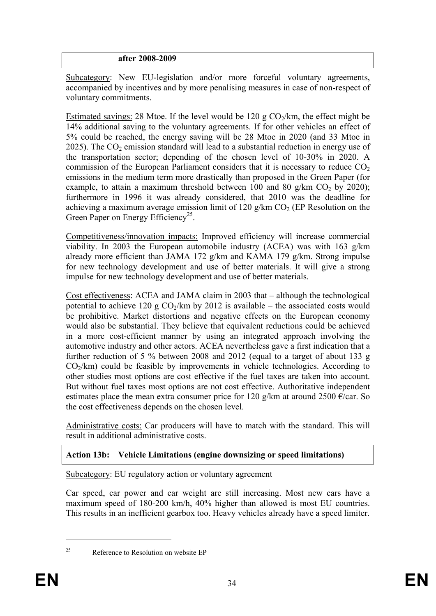#### **after 2008-2009**

Subcategory: New EU-legislation and/or more forceful voluntary agreements, accompanied by incentives and by more penalising measures in case of non-respect of voluntary commitments.

Estimated savings: 28 Mtoe. If the level would be 120 g  $CO<sub>2</sub>/km$ , the effect might be 14% additional saving to the voluntary agreements. If for other vehicles an effect of 5% could be reached, the energy saving will be 28 Mtoe in 2020 (and 33 Mtoe in 2025). The  $CO<sub>2</sub>$  emission standard will lead to a substantial reduction in energy use of the transportation sector; depending of the chosen level of 10-30% in 2020. A commission of the European Parliament considers that it is necessary to reduce  $CO<sub>2</sub>$ emissions in the medium term more drastically than proposed in the Green Paper (for example, to attain a maximum threshold between 100 and 80 g/km  $CO<sub>2</sub>$  by 2020); furthermore in 1996 it was already considered, that 2010 was the deadline for achieving a maximum average emission limit of 120 g/km  $CO<sub>2</sub>$  (EP Resolution on the Green Paper on Energy Efficiency<sup>25</sup>.

Competitiveness/innovation impacts: Improved efficiency will increase commercial viability. In 2003 the European automobile industry (ACEA) was with 163 g/km already more efficient than JAMA 172 g/km and KAMA 179 g/km. Strong impulse for new technology development and use of better materials. It will give a strong impulse for new technology development and use of better materials.

Cost effectiveness: ACEA and JAMA claim in 2003 that – although the technological potential to achieve 120 g  $CO_2/km$  by 2012 is available – the associated costs would be prohibitive. Market distortions and negative effects on the European economy would also be substantial. They believe that equivalent reductions could be achieved in a more cost-efficient manner by using an integrated approach involving the automotive industry and other actors. ACEA nevertheless gave a first indication that a further reduction of 5 % between 2008 and 2012 (equal to a target of about 133 g  $CO<sub>2</sub>/km$ ) could be feasible by improvements in vehicle technologies. According to other studies most options are cost effective if the fuel taxes are taken into account. But without fuel taxes most options are not cost effective. Authoritative independent estimates place the mean extra consumer price for 120 g/km at around 2500  $\epsilon$ /car. So the cost effectiveness depends on the chosen level.

Administrative costs: Car producers will have to match with the standard. This will result in additional administrative costs.

# **Action 13b: Vehicle Limitations (engine downsizing or speed limitations)**

Subcategory: EU regulatory action or voluntary agreement

Car speed, car power and car weight are still increasing. Most new cars have a maximum speed of 180-200 km/h, 40% higher than allowed is most EU countries. This results in an inefficient gearbox too. Heavy vehicles already have a speed limiter.

1

<sup>&</sup>lt;sup>25</sup> Reference to Resolution on website EP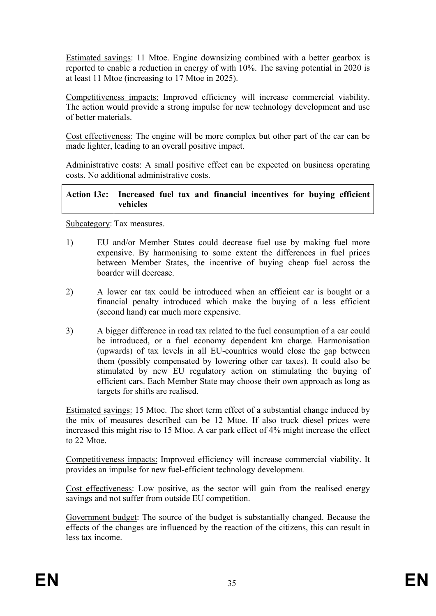Estimated savings: 11 Mtoe. Engine downsizing combined with a better gearbox is reported to enable a reduction in energy of with 10%. The saving potential in 2020 is at least 11 Mtoe (increasing to 17 Mtoe in 2025).

Competitiveness impacts: Improved efficiency will increase commercial viability. The action would provide a strong impulse for new technology development and use of better materials.

Cost effectiveness: The engine will be more complex but other part of the car can be made lighter, leading to an overall positive impact.

Administrative costs: A small positive effect can be expected on business operating costs. No additional administrative costs.

| Action 13c:   Increased fuel tax and financial incentives for buying efficient |          |  |  |  |  |
|--------------------------------------------------------------------------------|----------|--|--|--|--|
|                                                                                | vehicles |  |  |  |  |

Subcategory: Tax measures.

- 1) EU and/or Member States could decrease fuel use by making fuel more expensive. By harmonising to some extent the differences in fuel prices between Member States, the incentive of buying cheap fuel across the boarder will decrease.
- 2) A lower car tax could be introduced when an efficient car is bought or a financial penalty introduced which make the buying of a less efficient (second hand) car much more expensive.
- 3) A bigger difference in road tax related to the fuel consumption of a car could be introduced, or a fuel economy dependent km charge. Harmonisation (upwards) of tax levels in all EU-countries would close the gap between them (possibly compensated by lowering other car taxes). It could also be stimulated by new EU regulatory action on stimulating the buying of efficient cars. Each Member State may choose their own approach as long as targets for shifts are realised.

Estimated savings: 15 Mtoe. The short term effect of a substantial change induced by the mix of measures described can be 12 Mtoe. If also truck diesel prices were increased this might rise to 15 Mtoe. A car park effect of 4% might increase the effect to 22 Mtoe.

Competitiveness impacts: Improved efficiency will increase commercial viability. It provides an impulse for new fuel-efficient technology development.

Cost effectiveness: Low positive, as the sector will gain from the realised energy savings and not suffer from outside EU competition.

Government budget: The source of the budget is substantially changed. Because the effects of the changes are influenced by the reaction of the citizens, this can result in less tax income.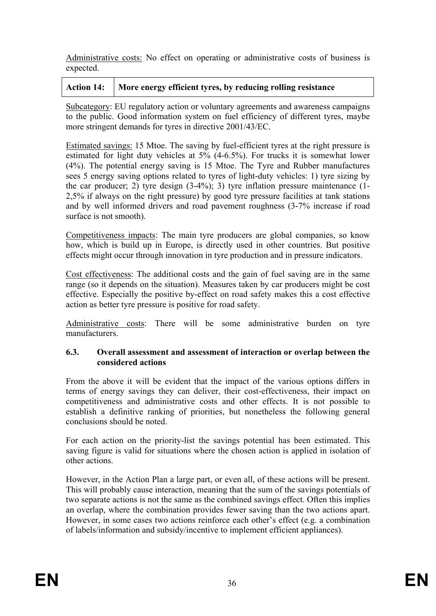Administrative costs: No effect on operating or administrative costs of business is expected.

# Action 14: More energy efficient tyres, by reducing rolling resistance

Subcategory: EU regulatory action or voluntary agreements and awareness campaigns to the public. Good information system on fuel efficiency of different tyres, maybe more stringent demands for tyres in directive 2001/43/EC.

Estimated savings: 15 Mtoe. The saving by fuel-efficient tyres at the right pressure is estimated for light duty vehicles at 5% (4-6.5%). For trucks it is somewhat lower (4%). The potential energy saving is 15 Mtoe. The Tyre and Rubber manufactures sees 5 energy saving options related to tyres of light-duty vehicles: 1) tyre sizing by the car producer; 2) tyre design (3-4%); 3) tyre inflation pressure maintenance (1- 2,5% if always on the right pressure) by good tyre pressure facilities at tank stations and by well informed drivers and road pavement roughness (3-7% increase if road surface is not smooth).

Competitiveness impacts: The main tyre producers are global companies, so know how, which is build up in Europe, is directly used in other countries. But positive effects might occur through innovation in tyre production and in pressure indicators.

Cost effectiveness: The additional costs and the gain of fuel saving are in the same range (so it depends on the situation). Measures taken by car producers might be cost effective. Especially the positive by-effect on road safety makes this a cost effective action as better tyre pressure is positive for road safety.

Administrative costs: There will be some administrative burden on tyre manufacturers.

#### **6.3. Overall assessment and assessment of interaction or overlap between the considered actions**

From the above it will be evident that the impact of the various options differs in terms of energy savings they can deliver, their cost-effectiveness, their impact on competitiveness and administrative costs and other effects. It is not possible to establish a definitive ranking of priorities, but nonetheless the following general conclusions should be noted.

For each action on the priority-list the savings potential has been estimated. This saving figure is valid for situations where the chosen action is applied in isolation of other actions.

However, in the Action Plan a large part, or even all, of these actions will be present. This will probably cause interaction, meaning that the sum of the savings potentials of two separate actions is not the same as the combined savings effect. Often this implies an overlap, where the combination provides fewer saving than the two actions apart. However, in some cases two actions reinforce each other's effect (e.g. a combination of labels/information and subsidy/incentive to implement efficient appliances).